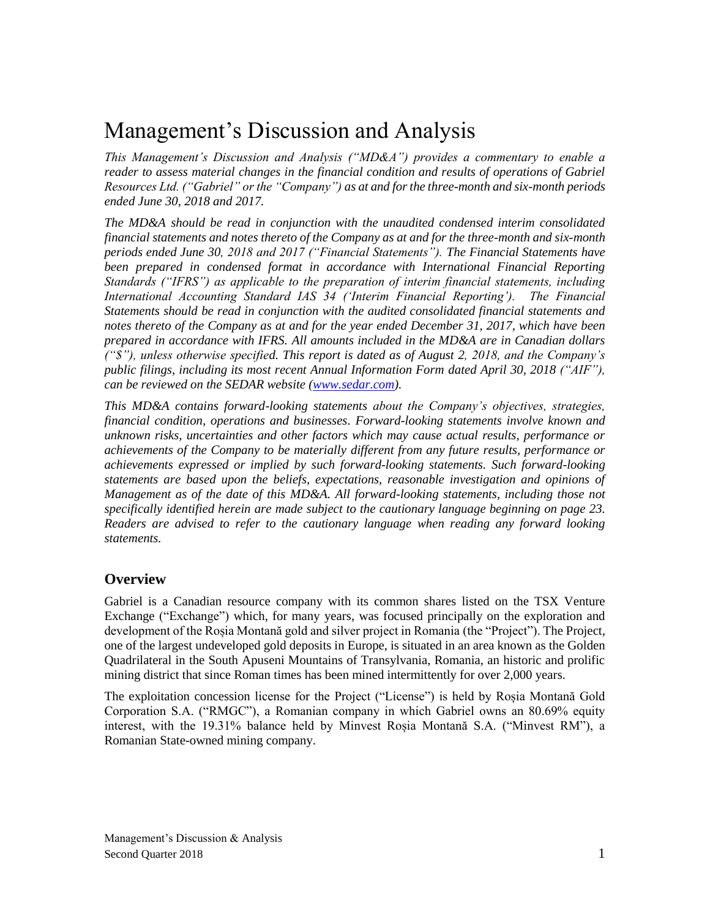# Management's Discussion and Analysis

*This Management's Discussion and Analysis ("MD&A") provides a commentary to enable a reader to assess material changes in the financial condition and results of operations of Gabriel Resources Ltd. ("Gabriel" or the "Company") as at and for the three-month and six-month periods ended June 30, 2018 and 2017.*

*The MD&A should be read in conjunction with the unaudited condensed interim consolidated financial statements and notes thereto of the Company as at and for the three-month and six-month periods ended June 30, 2018 and 2017 ("Financial Statements"). The Financial Statements have*  been prepared in condensed format in accordance with International Financial Reporting *Standards ("IFRS") as applicable to the preparation of interim financial statements, including International Accounting Standard IAS 34 ('Interim Financial Reporting'). The Financial Statements should be read in conjunction with the audited consolidated financial statements and notes thereto of the Company as at and for the year ended December 31, 2017, which have been prepared in accordance with IFRS. All amounts included in the MD&A are in Canadian dollars ("\$"), unless otherwise specified. This report is dated as of August 2, 2018, and the Company's public filings, including its most recent Annual Information Form dated April 30, 2018 ("AIF"), can be reviewed on the SEDAR website [\(www.sedar.com\)](http://www.sedar.com/).*

*This MD&A contains forward-looking statements about the Company's objectives, strategies, financial condition, operations and businesses. Forward-looking statements involve known and unknown risks, uncertainties and other factors which may cause actual results, performance or achievements of the Company to be materially different from any future results, performance or achievements expressed or implied by such forward-looking statements. Such forward-looking statements are based upon the beliefs, expectations, reasonable investigation and opinions of Management as of the date of this MD&A. All forward-looking statements, including those not specifically identified herein are made subject to the cautionary language beginning on page 23. Readers are advised to refer to the cautionary language when reading any forward looking statements.*

### **Overview**

Gabriel is a Canadian resource company with its common shares listed on the TSX Venture Exchange ("Exchange") which, for many years, was focused principally on the exploration and development of the Roșia Montană gold and silver project in Romania (the "Project"). The Project, one of the largest undeveloped gold deposits in Europe, is situated in an area known as the Golden Quadrilateral in the South Apuseni Mountains of Transylvania, Romania, an historic and prolific mining district that since Roman times has been mined intermittently for over 2,000 years.

The exploitation concession license for the Project ("License") is held by Roșia Montană Gold Corporation S.A. ("RMGC"), a Romanian company in which Gabriel owns an 80.69% equity interest, with the 19.31% balance held by Minvest Roșia Montană S.A. ("Minvest RM"), a Romanian State-owned mining company.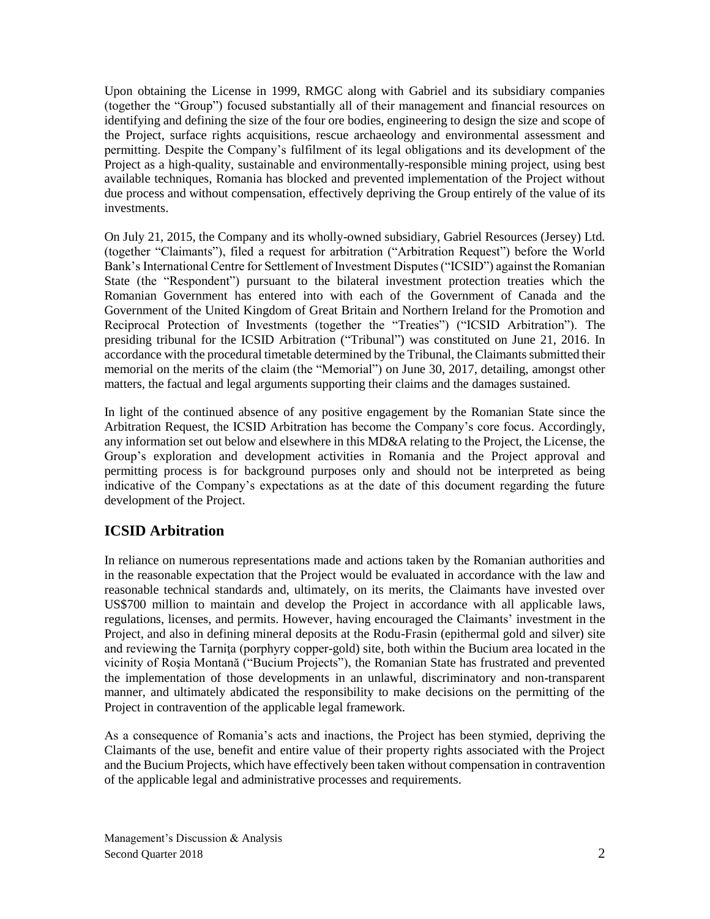Upon obtaining the License in 1999, RMGC along with Gabriel and its subsidiary companies (together the "Group") focused substantially all of their management and financial resources on identifying and defining the size of the four ore bodies, engineering to design the size and scope of the Project, surface rights acquisitions, rescue archaeology and environmental assessment and permitting. Despite the Company's fulfilment of its legal obligations and its development of the Project as a high-quality, sustainable and environmentally-responsible mining project, using best available techniques, Romania has blocked and prevented implementation of the Project without due process and without compensation, effectively depriving the Group entirely of the value of its investments.

On July 21, 2015, the Company and its wholly-owned subsidiary, Gabriel Resources (Jersey) Ltd. (together "Claimants"), filed a request for arbitration ("Arbitration Request") before the World Bank's International Centre for Settlement of Investment Disputes ("ICSID") against the Romanian State (the "Respondent") pursuant to the bilateral investment protection treaties which the Romanian Government has entered into with each of the Government of Canada and the Government of the United Kingdom of Great Britain and Northern Ireland for the Promotion and Reciprocal Protection of Investments (together the "Treaties") ("ICSID Arbitration"). The presiding tribunal for the ICSID Arbitration ("Tribunal") was constituted on June 21, 2016. In accordance with the procedural timetable determined by the Tribunal, the Claimants submitted their memorial on the merits of the claim (the "Memorial") on June 30, 2017, detailing, amongst other matters, the factual and legal arguments supporting their claims and the damages sustained.

In light of the continued absence of any positive engagement by the Romanian State since the Arbitration Request, the ICSID Arbitration has become the Company's core focus. Accordingly, any information set out below and elsewhere in this MD&A relating to the Project, the License, the Group's exploration and development activities in Romania and the Project approval and permitting process is for background purposes only and should not be interpreted as being indicative of the Company's expectations as at the date of this document regarding the future development of the Project.

## **ICSID Arbitration**

In reliance on numerous representations made and actions taken by the Romanian authorities and in the reasonable expectation that the Project would be evaluated in accordance with the law and reasonable technical standards and, ultimately, on its merits, the Claimants have invested over US\$700 million to maintain and develop the Project in accordance with all applicable laws, regulations, licenses, and permits. However, having encouraged the Claimants' investment in the Project, and also in defining mineral deposits at the Rodu-Frasin (epithermal gold and silver) site and reviewing the Tarnita (porphyry copper-gold) site, both within the Bucium area located in the vicinity of Roşia Montană ("Bucium Projects"), the Romanian State has frustrated and prevented the implementation of those developments in an unlawful, discriminatory and non-transparent manner, and ultimately abdicated the responsibility to make decisions on the permitting of the Project in contravention of the applicable legal framework.

As a consequence of Romania's acts and inactions, the Project has been stymied, depriving the Claimants of the use, benefit and entire value of their property rights associated with the Project and the Bucium Projects, which have effectively been taken without compensation in contravention of the applicable legal and administrative processes and requirements.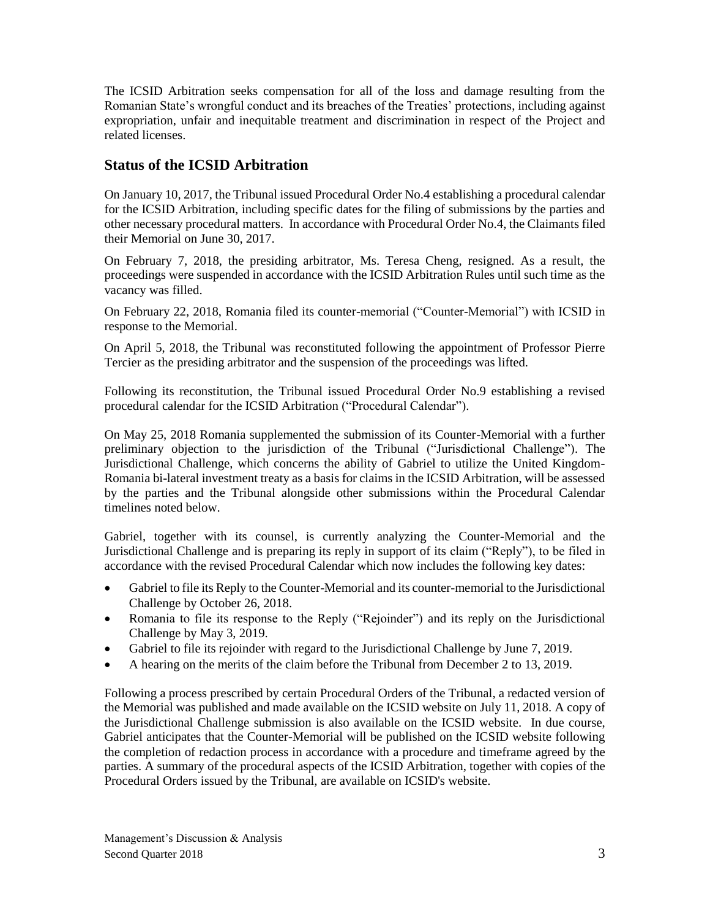The ICSID Arbitration seeks compensation for all of the loss and damage resulting from the Romanian State's wrongful conduct and its breaches of the Treaties' protections, including against expropriation, unfair and inequitable treatment and discrimination in respect of the Project and related licenses.

## **Status of the ICSID Arbitration**

On January 10, 2017, the Tribunal issued Procedural Order No.4 establishing a procedural calendar for the ICSID Arbitration, including specific dates for the filing of submissions by the parties and other necessary procedural matters. In accordance with Procedural Order No.4, the Claimants filed their Memorial on June 30, 2017.

On February 7, 2018, the presiding arbitrator, Ms. Teresa Cheng, resigned. As a result, the proceedings were suspended in accordance with the ICSID Arbitration Rules until such time as the vacancy was filled.

On February 22, 2018, Romania filed its counter-memorial ("Counter-Memorial") with ICSID in response to the Memorial.

On April 5, 2018, the Tribunal was reconstituted following the appointment of Professor Pierre Tercier as the presiding arbitrator and the suspension of the proceedings was lifted.

Following its reconstitution, the Tribunal issued Procedural Order No.9 establishing a revised procedural calendar for the ICSID Arbitration ("Procedural Calendar").

On May 25, 2018 Romania supplemented the submission of its Counter-Memorial with a further preliminary objection to the jurisdiction of the Tribunal ("Jurisdictional Challenge"). The Jurisdictional Challenge, which concerns the ability of Gabriel to utilize the United Kingdom-Romania bi-lateral investment treaty as a basis for claims in the ICSID Arbitration, will be assessed by the parties and the Tribunal alongside other submissions within the Procedural Calendar timelines noted below.

Gabriel, together with its counsel, is currently analyzing the Counter-Memorial and the Jurisdictional Challenge and is preparing its reply in support of its claim ("Reply"), to be filed in accordance with the revised Procedural Calendar which now includes the following key dates:

- Gabriel to file its Reply to the Counter-Memorial and its counter-memorial to the Jurisdictional Challenge by October 26, 2018.
- Romania to file its response to the Reply ("Rejoinder") and its reply on the Jurisdictional Challenge by May 3, 2019.
- Gabriel to file its rejoinder with regard to the Jurisdictional Challenge by June 7, 2019.
- A hearing on the merits of the claim before the Tribunal from December 2 to 13, 2019.

Following a process prescribed by certain Procedural Orders of the Tribunal, a redacted version of the Memorial was published and made available on the ICSID website on July 11, 2018. A copy of the Jurisdictional Challenge submission is also available on the ICSID website. In due course, Gabriel anticipates that the Counter-Memorial will be published on the ICSID website following the completion of redaction process in accordance with a procedure and timeframe agreed by the parties. A summary of the procedural aspects of the ICSID Arbitration, together with copies of the Procedural Orders issued by the Tribunal, are available on ICSID's website.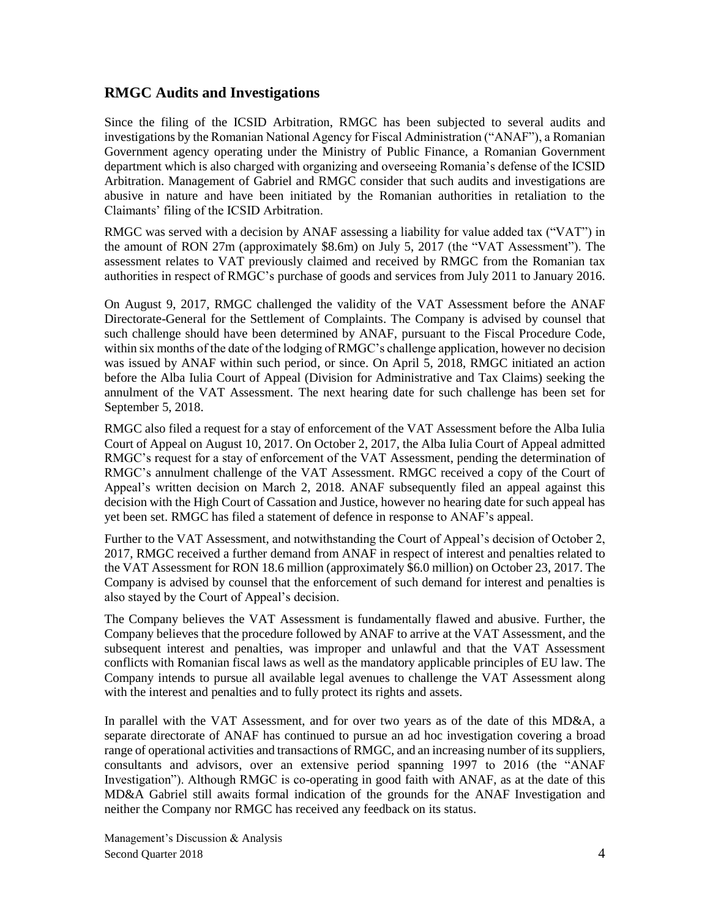### **RMGC Audits and Investigations**

Since the filing of the ICSID Arbitration, RMGC has been subjected to several audits and investigations by the Romanian National Agency for Fiscal Administration ("ANAF"), a Romanian Government agency operating under the Ministry of Public Finance, a Romanian Government department which is also charged with organizing and overseeing Romania's defense of the ICSID Arbitration. Management of Gabriel and RMGC consider that such audits and investigations are abusive in nature and have been initiated by the Romanian authorities in retaliation to the Claimants' filing of the ICSID Arbitration.

RMGC was served with a decision by ANAF assessing a liability for value added tax ("VAT") in the amount of RON 27m (approximately \$8.6m) on July 5, 2017 (the "VAT Assessment"). The assessment relates to VAT previously claimed and received by RMGC from the Romanian tax authorities in respect of RMGC's purchase of goods and services from July 2011 to January 2016.

On August 9, 2017, RMGC challenged the validity of the VAT Assessment before the ANAF Directorate-General for the Settlement of Complaints. The Company is advised by counsel that such challenge should have been determined by ANAF, pursuant to the Fiscal Procedure Code, within six months of the date of the lodging of RMGC's challenge application, however no decision was issued by ANAF within such period, or since. On April 5, 2018, RMGC initiated an action before the Alba Iulia Court of Appeal (Division for Administrative and Tax Claims) seeking the annulment of the VAT Assessment. The next hearing date for such challenge has been set for September 5, 2018.

RMGC also filed a request for a stay of enforcement of the VAT Assessment before the Alba Iulia Court of Appeal on August 10, 2017. On October 2, 2017, the Alba Iulia Court of Appeal admitted RMGC's request for a stay of enforcement of the VAT Assessment, pending the determination of RMGC's annulment challenge of the VAT Assessment. RMGC received a copy of the Court of Appeal's written decision on March 2, 2018. ANAF subsequently filed an appeal against this decision with the High Court of Cassation and Justice, however no hearing date for such appeal has yet been set. RMGC has filed a statement of defence in response to ANAF's appeal.

Further to the VAT Assessment, and notwithstanding the Court of Appeal's decision of October 2, 2017, RMGC received a further demand from ANAF in respect of interest and penalties related to the VAT Assessment for RON 18.6 million (approximately \$6.0 million) on October 23, 2017. The Company is advised by counsel that the enforcement of such demand for interest and penalties is also stayed by the Court of Appeal's decision.

The Company believes the VAT Assessment is fundamentally flawed and abusive. Further, the Company believes that the procedure followed by ANAF to arrive at the VAT Assessment, and the subsequent interest and penalties, was improper and unlawful and that the VAT Assessment conflicts with Romanian fiscal laws as well as the mandatory applicable principles of EU law. The Company intends to pursue all available legal avenues to challenge the VAT Assessment along with the interest and penalties and to fully protect its rights and assets.

In parallel with the VAT Assessment, and for over two years as of the date of this MD&A, a separate directorate of ANAF has continued to pursue an ad hoc investigation covering a broad range of operational activities and transactions of RMGC, and an increasing number of its suppliers, consultants and advisors, over an extensive period spanning 1997 to 2016 (the "ANAF Investigation"). Although RMGC is co-operating in good faith with ANAF, as at the date of this MD&A Gabriel still awaits formal indication of the grounds for the ANAF Investigation and neither the Company nor RMGC has received any feedback on its status.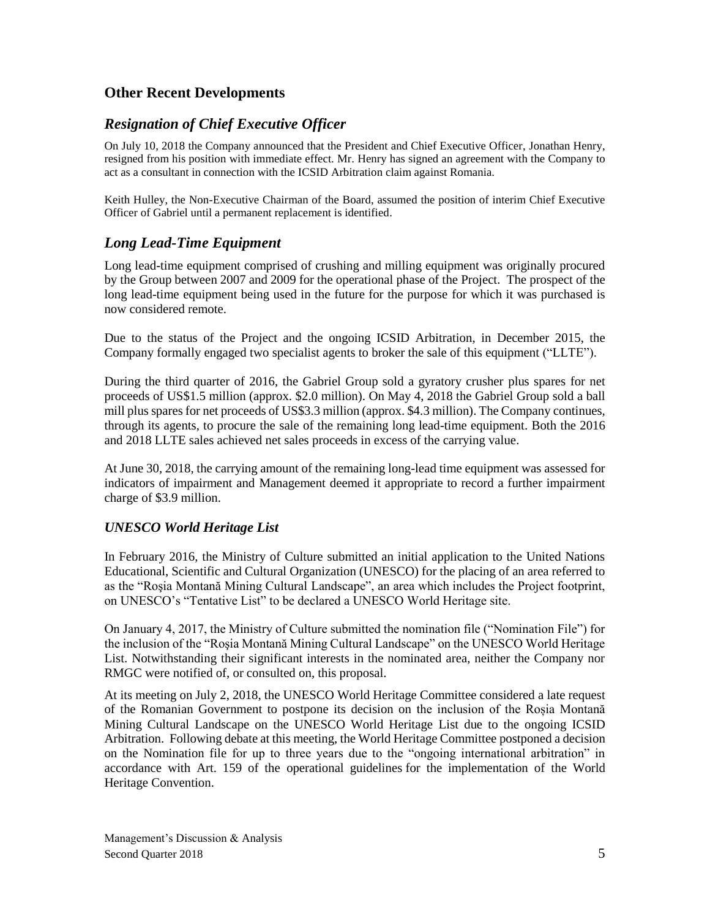## **Other Recent Developments**

## *Resignation of Chief Executive Officer*

On July 10, 2018 the Company announced that the President and Chief Executive Officer, Jonathan Henry, resigned from his position with immediate effect. Mr. Henry has signed an agreement with the Company to act as a consultant in connection with the ICSID Arbitration claim against Romania.

Keith Hulley, the Non-Executive Chairman of the Board, assumed the position of interim Chief Executive Officer of Gabriel until a permanent replacement is identified.

## *Long Lead-Time Equipment*

Long lead-time equipment comprised of crushing and milling equipment was originally procured by the Group between 2007 and 2009 for the operational phase of the Project. The prospect of the long lead-time equipment being used in the future for the purpose for which it was purchased is now considered remote.

Due to the status of the Project and the ongoing ICSID Arbitration, in December 2015, the Company formally engaged two specialist agents to broker the sale of this equipment ("LLTE").

During the third quarter of 2016, the Gabriel Group sold a gyratory crusher plus spares for net proceeds of US\$1.5 million (approx. \$2.0 million). On May 4, 2018 the Gabriel Group sold a ball mill plus spares for net proceeds of US\$3.3 million (approx. \$4.3 million). The Company continues, through its agents, to procure the sale of the remaining long lead-time equipment. Both the 2016 and 2018 LLTE sales achieved net sales proceeds in excess of the carrying value.

At June 30, 2018, the carrying amount of the remaining long-lead time equipment was assessed for indicators of impairment and Management deemed it appropriate to record a further impairment charge of \$3.9 million.

### *UNESCO World Heritage List*

In February 2016, the Ministry of Culture submitted an initial application to the United Nations Educational, Scientific and Cultural Organization (UNESCO) for the placing of an area referred to as the "Roşia Montană Mining Cultural Landscape", an area which includes the Project footprint, on UNESCO's "Tentative List" to be declared a UNESCO World Heritage site.

On January 4, 2017, the Ministry of Culture submitted the nomination file ("Nomination File") for the inclusion of the "Roşia Montană Mining Cultural Landscape" on the UNESCO World Heritage List. Notwithstanding their significant interests in the nominated area, neither the Company nor RMGC were notified of, or consulted on, this proposal.

At its meeting on July 2, 2018, the UNESCO World Heritage Committee considered a late request of the Romanian Government to postpone its decision on the inclusion of the Roșia Montană Mining Cultural Landscape on the UNESCO World Heritage List due to the ongoing ICSID Arbitration. Following debate at this meeting, the World Heritage Committee postponed a decision on the Nomination file for up to three years due to the "ongoing international arbitration" in accordance with Art. 159 of the operational guidelines for the implementation of the World Heritage Convention.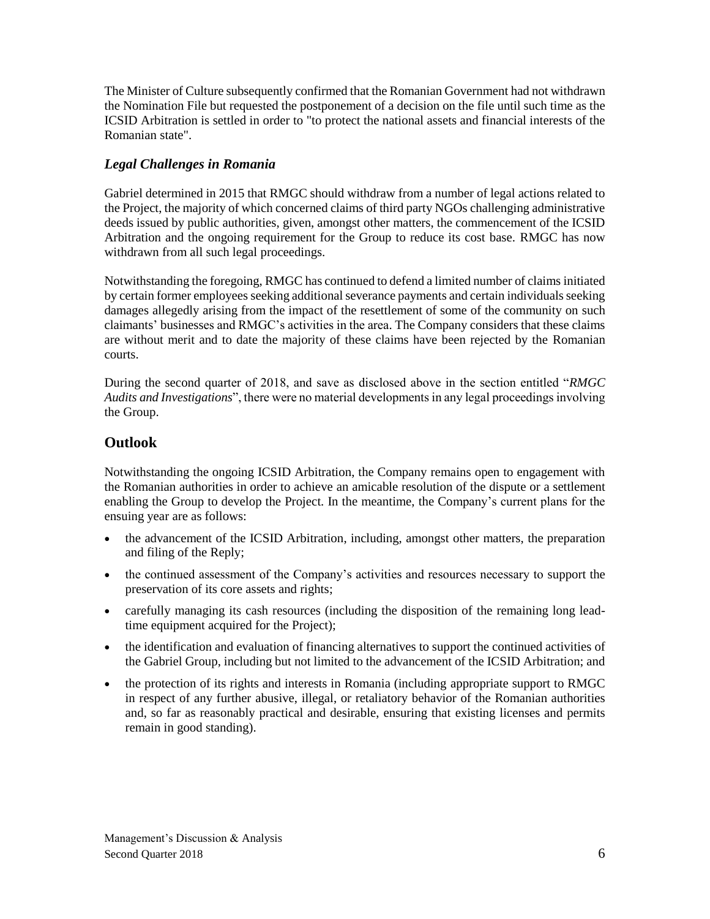The Minister of Culture subsequently confirmed that the Romanian Government had not withdrawn the Nomination File but requested the postponement of a decision on the file until such time as the ICSID Arbitration is settled in order to "to protect the national assets and financial interests of the Romanian state".

### *Legal Challenges in Romania*

Gabriel determined in 2015 that RMGC should withdraw from a number of legal actions related to the Project, the majority of which concerned claims of third party NGOs challenging administrative deeds issued by public authorities, given, amongst other matters, the commencement of the ICSID Arbitration and the ongoing requirement for the Group to reduce its cost base. RMGC has now withdrawn from all such legal proceedings.

Notwithstanding the foregoing, RMGC has continued to defend a limited number of claims initiated by certain former employees seeking additional severance payments and certain individuals seeking damages allegedly arising from the impact of the resettlement of some of the community on such claimants' businesses and RMGC's activities in the area. The Company considers that these claims are without merit and to date the majority of these claims have been rejected by the Romanian courts.

During the second quarter of 2018, and save as disclosed above in the section entitled "*RMGC Audits and Investigations*", there were no material developments in any legal proceedings involving the Group.

## **Outlook**

Notwithstanding the ongoing ICSID Arbitration, the Company remains open to engagement with the Romanian authorities in order to achieve an amicable resolution of the dispute or a settlement enabling the Group to develop the Project. In the meantime, the Company's current plans for the ensuing year are as follows:

- the advancement of the ICSID Arbitration, including, amongst other matters, the preparation and filing of the Reply;
- the continued assessment of the Company's activities and resources necessary to support the preservation of its core assets and rights;
- carefully managing its cash resources (including the disposition of the remaining long leadtime equipment acquired for the Project);
- the identification and evaluation of financing alternatives to support the continued activities of the Gabriel Group, including but not limited to the advancement of the ICSID Arbitration; and
- the protection of its rights and interests in Romania (including appropriate support to RMGC in respect of any further abusive, illegal, or retaliatory behavior of the Romanian authorities and, so far as reasonably practical and desirable, ensuring that existing licenses and permits remain in good standing).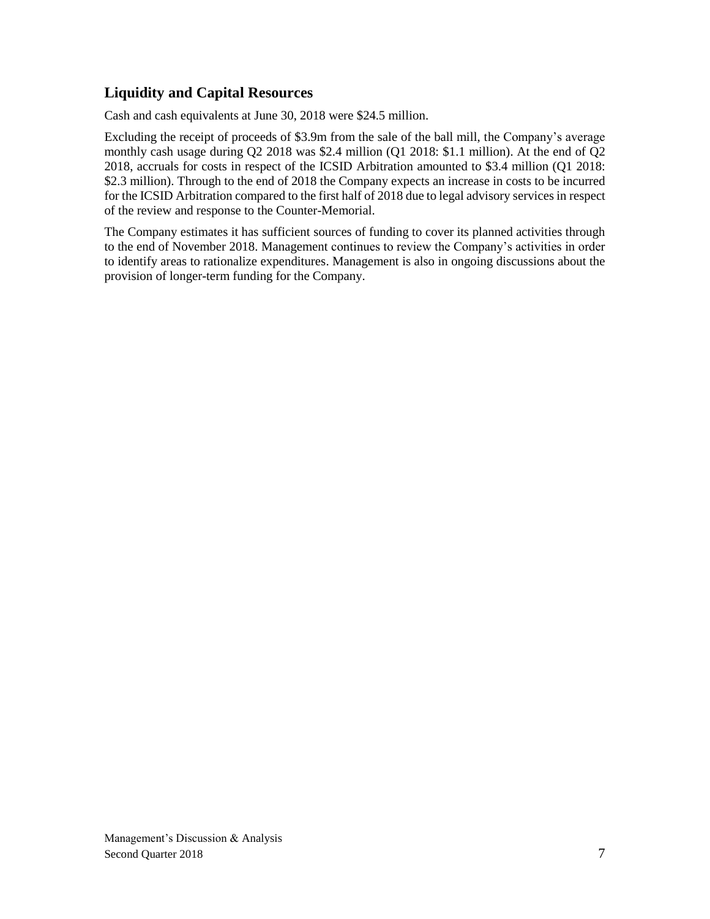## **Liquidity and Capital Resources**

Cash and cash equivalents at June 30, 2018 were \$24.5 million.

Excluding the receipt of proceeds of \$3.9m from the sale of the ball mill, the Company's average monthly cash usage during Q2 2018 was \$2.4 million (Q1 2018: \$1.1 million). At the end of Q2 2018, accruals for costs in respect of the ICSID Arbitration amounted to \$3.4 million (Q1 2018: \$2.3 million). Through to the end of 2018 the Company expects an increase in costs to be incurred for the ICSID Arbitration compared to the first half of 2018 due to legal advisory services in respect of the review and response to the Counter-Memorial.

The Company estimates it has sufficient sources of funding to cover its planned activities through to the end of November 2018. Management continues to review the Company's activities in order to identify areas to rationalize expenditures. Management is also in ongoing discussions about the provision of longer-term funding for the Company.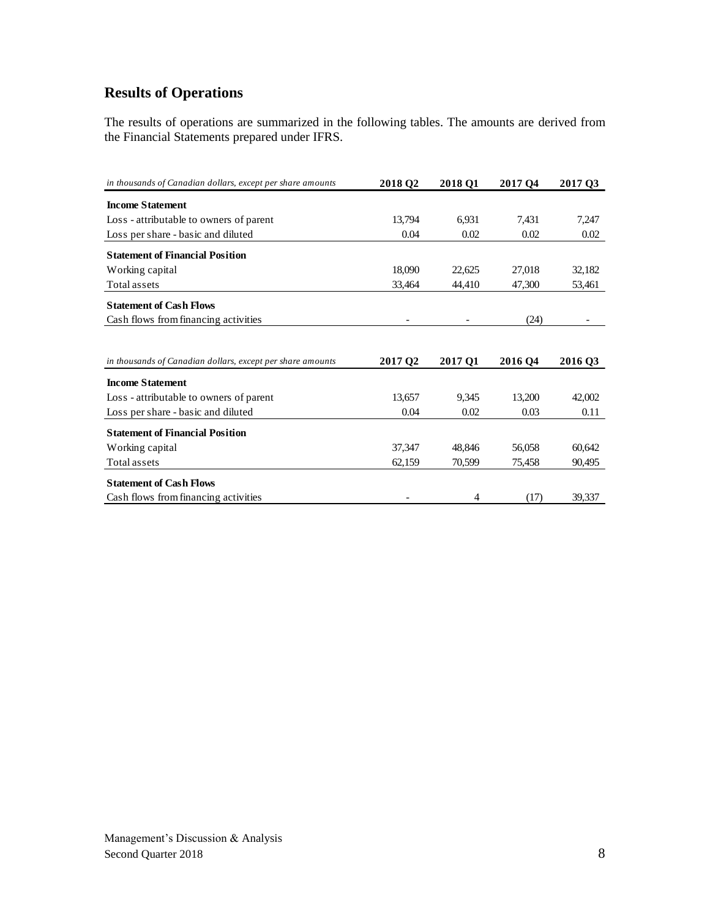## **Results of Operations**

The results of operations are summarized in the following tables. The amounts are derived from the Financial Statements prepared under IFRS.

| in thousands of Canadian dollars, except per share amounts | 2018 O <sub>2</sub> | 2018 O1 | 2017 O <sub>4</sub> | 2017 03 |
|------------------------------------------------------------|---------------------|---------|---------------------|---------|
| <b>Income Statement</b>                                    |                     |         |                     |         |
| Loss - attributable to owners of parent                    | 13,794              | 6,931   | 7,431               | 7,247   |
| Loss per share - basic and diluted                         | 0.04                | 0.02    | 0.02                | 0.02    |
| <b>Statement of Financial Position</b>                     |                     |         |                     |         |
| Working capital                                            | 18,090              | 22,625  | 27,018              | 32,182  |
| Total assets                                               | 33,464              | 44,410  | 47,300              | 53,461  |
| <b>Statement of Cash Flows</b>                             |                     |         |                     |         |
| Cash flows from financing activities                       |                     |         | (24)                |         |
|                                                            |                     |         |                     |         |
| in thousands of Canadian dollars, except per share amounts | 2017 Q <sub>2</sub> | 2017 Q1 | 2016 Q4             | 2016 Q3 |
| <b>Income Statement</b>                                    |                     |         |                     |         |
| Loss - attributable to owners of parent                    | 13,657              | 9.345   | 13.200              | 42,002  |
| Loss per share - basic and diluted                         | 0.04                | 0.02    | 0.03                | 0.11    |
| <b>Statement of Financial Position</b>                     |                     |         |                     |         |
| Working capital                                            | 37,347              | 48.846  | 56,058              | 60,642  |
| Total assets                                               | 62,159              | 70,599  | 75,458              | 90,495  |
| <b>Statement of Cash Flows</b>                             |                     |         |                     |         |
| Cash flows from financing activities                       |                     | 4       | (17)                | 39,337  |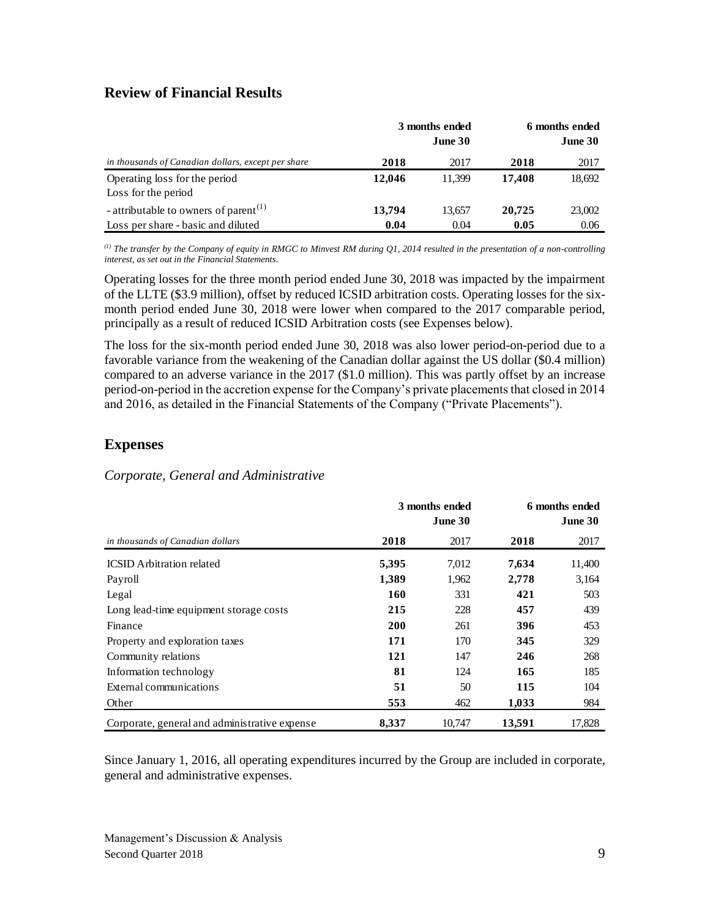### **Review of Financial Results**

|                                                      |        | 3 months ended<br>June 30 | 6 months ended<br>June 30 |        |  |
|------------------------------------------------------|--------|---------------------------|---------------------------|--------|--|
| in thousands of Canadian dollars, except per share   | 2018   | 2017                      | 2018                      | 2017   |  |
| Operating loss for the period<br>Loss for the period | 12.046 | 11.399                    | 17.408                    | 18,692 |  |
| - attributable to owners of parent <sup>(1)</sup>    | 13,794 | 13.657                    | 20,725                    | 23,002 |  |
| Loss per share - basic and diluted                   | 0.04   | 0.04                      | 0.05                      | 0.06   |  |

*(1) The transfer by the Company of equity in RMGC to Minvest RM during Q1, 2014 resulted in the presentation of a non-controlling interest, as set out in the Financial Statements.*

Operating losses for the three month period ended June 30, 2018 was impacted by the impairment of the LLTE (\$3.9 million), offset by reduced ICSID arbitration costs. Operating losses for the sixmonth period ended June 30, 2018 were lower when compared to the 2017 comparable period, principally as a result of reduced ICSID Arbitration costs (see Expenses below).

The loss for the six-month period ended June 30, 2018 was also lower period-on-period due to a favorable variance from the weakening of the Canadian dollar against the US dollar (\$0.4 million) compared to an adverse variance in the 2017 (\$1.0 million). This was partly offset by an increase period-on-period in the accretion expense for the Company's private placements that closed in 2014 and 2016, as detailed in the Financial Statements of the Company ("Private Placements").

### **Expenses**

#### *Corporate, General and Administrative*

|                                               |       | 3 months ended<br>June 30 | 6 months ended<br>June 30 |        |  |
|-----------------------------------------------|-------|---------------------------|---------------------------|--------|--|
| in thousands of Canadian dollars              | 2018  | 2017                      | 2018                      | 2017   |  |
| <b>ICSID</b> Arbitration related              | 5,395 | 7,012                     | 7,634                     | 11,400 |  |
| Payroll                                       | 1,389 | 1,962                     | 2,778                     | 3,164  |  |
| Legal                                         | 160   | 331                       | 421                       | 503    |  |
| Long lead-time equipment storage costs        | 215   | 228                       | 457                       | 439    |  |
| Finance                                       | 200   | 261                       | 396                       | 453    |  |
| Property and exploration taxes                | 171   | 170                       | 345                       | 329    |  |
| Community relations                           | 121   | 147                       | 246                       | 268    |  |
| Information technology                        | 81    | 124                       | 165                       | 185    |  |
| External communications                       | 51    | 50                        | 115                       | 104    |  |
| Other                                         | 553   | 462                       | 1,033                     | 984    |  |
| Corporate, general and administrative expense | 8,337 | 10,747                    | 13,591                    | 17,828 |  |

Since January 1, 2016, all operating expenditures incurred by the Group are included in corporate, general and administrative expenses.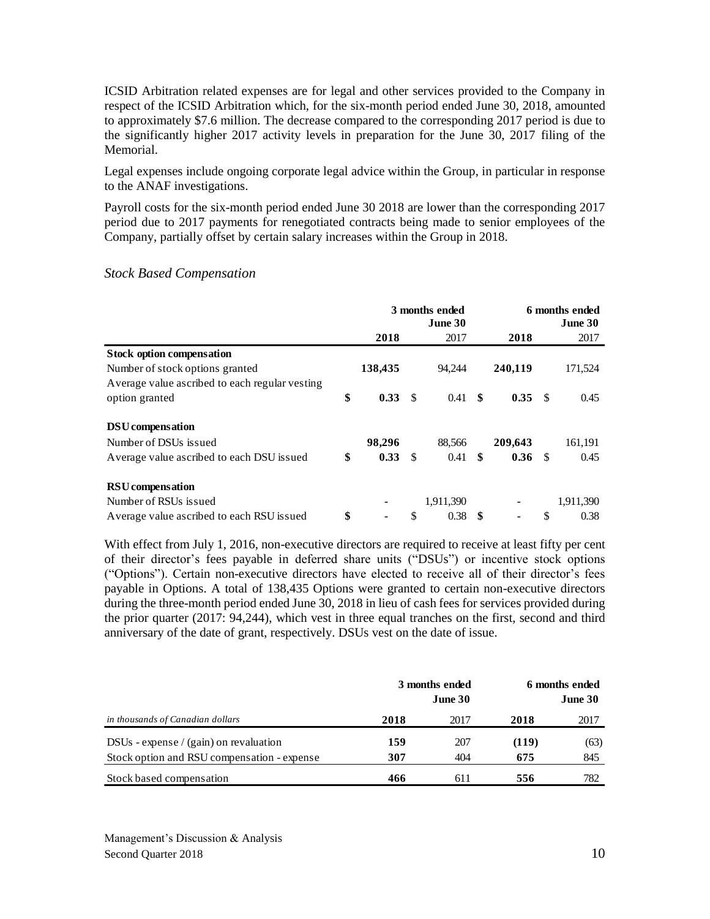ICSID Arbitration related expenses are for legal and other services provided to the Company in respect of the ICSID Arbitration which, for the six-month period ended June 30, 2018, amounted to approximately \$7.6 million. The decrease compared to the corresponding 2017 period is due to the significantly higher 2017 activity levels in preparation for the June 30, 2017 filing of the Memorial.

Legal expenses include ongoing corporate legal advice within the Group, in particular in response to the ANAF investigations.

Payroll costs for the six-month period ended June 30 2018 are lower than the corresponding 2017 period due to 2017 payments for renegotiated contracts being made to senior employees of the Company, partially offset by certain salary increases within the Group in 2018.

|                                                 | 3 months ended<br>June 30 |         |     | 6 months ended<br>June 30 |                   |    |           |
|-------------------------------------------------|---------------------------|---------|-----|---------------------------|-------------------|----|-----------|
|                                                 |                           | 2018    |     | 2017                      | 2018              |    | 2017      |
| <b>Stock option compensation</b>                |                           |         |     |                           |                   |    |           |
| Number of stock options granted                 |                           | 138,435 |     | 94.244                    | 240,119           |    | 171,524   |
| Average value as cribed to each regular vesting |                           |         |     |                           |                   |    |           |
| option granted                                  | \$                        | 0.33    | -\$ | $0.41 \quad$ \$           | 0.35 S            |    | 0.45      |
| DSU compensation                                |                           |         |     |                           |                   |    |           |
| Number of DSUs issued                           |                           | 98,296  |     | 88,566                    | 209,643           |    | 161,191   |
| Average value ascribed to each DSU issued       | \$                        | 0.33    | -\$ | $0.41 \quad$ \$           | 0.36 <sub>5</sub> |    | 0.45      |
| <b>RSU</b> compensation                         |                           |         |     |                           |                   |    |           |
| Number of RSUs issued                           |                           |         |     | 1,911,390                 |                   |    | 1,911,390 |
| Average value as cribed to each RSU issued      | \$                        |         | \$  | 0.38                      | \$                | \$ | 0.38      |

#### *Stock Based Compensation*

With effect from July 1, 2016, non-executive directors are required to receive at least fifty per cent of their director's fees payable in deferred share units ("DSUs") or incentive stock options ("Options"). Certain non-executive directors have elected to receive all of their director's fees payable in Options. A total of 138,435 Options were granted to certain non-executive directors during the three-month period ended June 30, 2018 in lieu of cash fees for services provided during the prior quarter (2017: 94,244), which vest in three equal tranches on the first, second and third anniversary of the date of grant, respectively. DSUs vest on the date of issue.

|                                             |      | 3 months ended<br>June 30 | 6 months ended<br>June 30 |      |  |
|---------------------------------------------|------|---------------------------|---------------------------|------|--|
| in thousands of Canadian dollars            | 2018 | 2017                      | 2018                      | 2017 |  |
| $DSUs - expense / (gain)$ on revaluation    | 159  | 207                       | (119)                     | (63) |  |
| Stock option and RSU compensation - expense | 307  | 404                       | 675                       | 845  |  |
| Stock based compensation                    | 466  | 611                       | 556                       | 782  |  |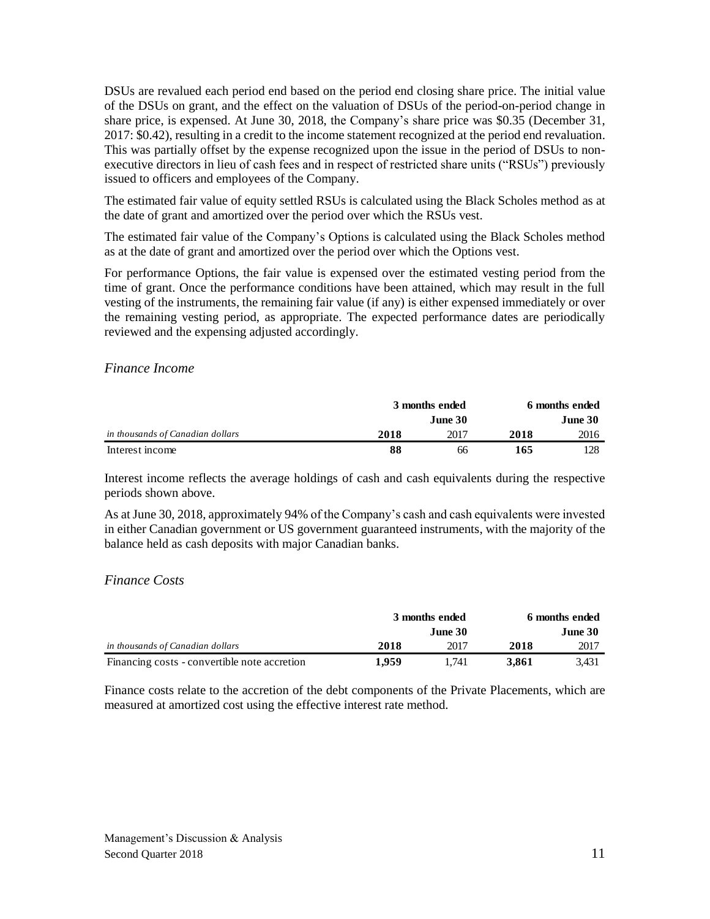DSUs are revalued each period end based on the period end closing share price. The initial value of the DSUs on grant, and the effect on the valuation of DSUs of the period-on-period change in share price, is expensed. At June 30, 2018, the Company's share price was \$0.35 (December 31, 2017: \$0.42), resulting in a credit to the income statement recognized at the period end revaluation. This was partially offset by the expense recognized upon the issue in the period of DSUs to nonexecutive directors in lieu of cash fees and in respect of restricted share units ("RSUs") previously issued to officers and employees of the Company.

The estimated fair value of equity settled RSUs is calculated using the Black Scholes method as at the date of grant and amortized over the period over which the RSUs vest.

The estimated fair value of the Company's Options is calculated using the Black Scholes method as at the date of grant and amortized over the period over which the Options vest.

For performance Options, the fair value is expensed over the estimated vesting period from the time of grant. Once the performance conditions have been attained, which may result in the full vesting of the instruments, the remaining fair value (if any) is either expensed immediately or over the remaining vesting period, as appropriate. The expected performance dates are periodically reviewed and the expensing adjusted accordingly.

#### *Finance Income*

|                                  | 3 months ended |         |      | 6 months ended |  |  |
|----------------------------------|----------------|---------|------|----------------|--|--|
|                                  |                | June 30 |      | June 30        |  |  |
| in thousands of Canadian dollars | 2018           | 2017    | 2018 | 2016           |  |  |
| Interest income                  | 88             | 66      | 165  | 128            |  |  |

Interest income reflects the average holdings of cash and cash equivalents during the respective periods shown above.

As at June 30, 2018, approximately 94% of the Company's cash and cash equivalents were invested in either Canadian government or US government guaranteed instruments, with the majority of the balance held as cash deposits with major Canadian banks.

#### *Finance Costs*

|                                              | 3 months ended |         | 6 months ended |         |  |
|----------------------------------------------|----------------|---------|----------------|---------|--|
|                                              |                | June 30 |                | June 30 |  |
| in thousands of Canadian dollars             | 2018           | 2017    | 2018           | 2017    |  |
| Financing costs - convertible note accretion | 1.959          | 1.741   | 3.861          | 3.431   |  |

Finance costs relate to the accretion of the debt components of the Private Placements, which are measured at amortized cost using the effective interest rate method.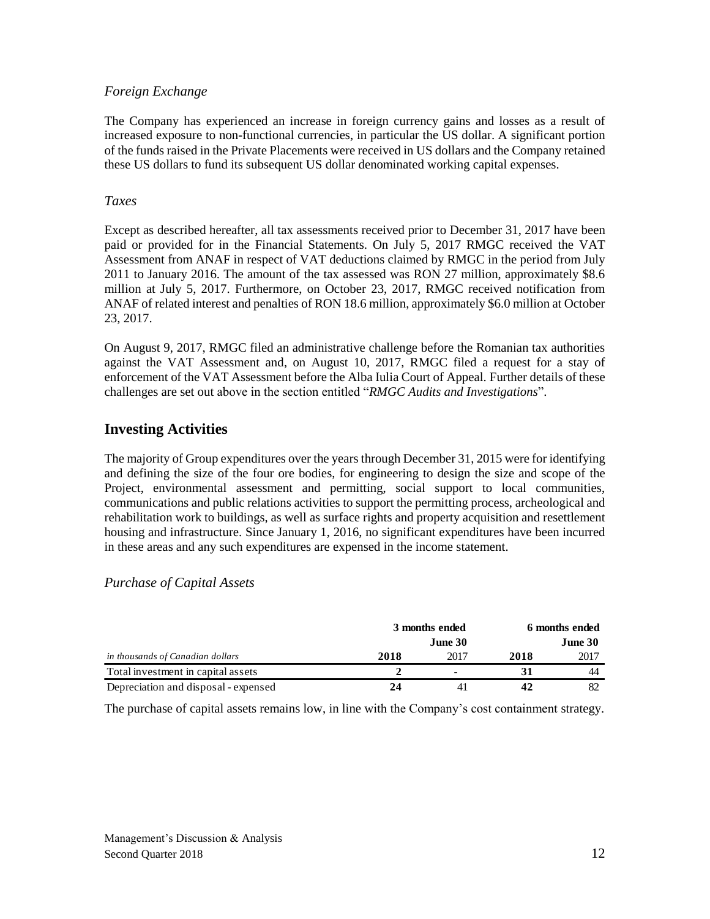#### *Foreign Exchange*

The Company has experienced an increase in foreign currency gains and losses as a result of increased exposure to non-functional currencies, in particular the US dollar. A significant portion of the funds raised in the Private Placements were received in US dollars and the Company retained these US dollars to fund its subsequent US dollar denominated working capital expenses.

#### *Taxes*

Except as described hereafter, all tax assessments received prior to December 31, 2017 have been paid or provided for in the Financial Statements. On July 5, 2017 RMGC received the VAT Assessment from ANAF in respect of VAT deductions claimed by RMGC in the period from July 2011 to January 2016. The amount of the tax assessed was RON 27 million, approximately \$8.6 million at July 5, 2017. Furthermore, on October 23, 2017, RMGC received notification from ANAF of related interest and penalties of RON 18.6 million, approximately \$6.0 million at October 23, 2017.

On August 9, 2017, RMGC filed an administrative challenge before the Romanian tax authorities against the VAT Assessment and, on August 10, 2017, RMGC filed a request for a stay of enforcement of the VAT Assessment before the Alba Iulia Court of Appeal. Further details of these challenges are set out above in the section entitled "*RMGC Audits and Investigations*".

## **Investing Activities**

The majority of Group expenditures over the years through December 31, 2015 were for identifying and defining the size of the four ore bodies, for engineering to design the size and scope of the Project, environmental assessment and permitting, social support to local communities, communications and public relations activities to support the permitting process, archeological and rehabilitation work to buildings, as well as surface rights and property acquisition and resettlement housing and infrastructure. Since January 1, 2016, no significant expenditures have been incurred in these areas and any such expenditures are expensed in the income statement.

#### *Purchase of Capital Assets*

|                                      | 3 months ended |         | 6 months ended |         |  |
|--------------------------------------|----------------|---------|----------------|---------|--|
|                                      |                | June 30 |                | June 30 |  |
| in thousands of Canadian dollars     | 2018           | 2017    | 2018           | 2017    |  |
| Total investment in capital assets   |                |         | 31             | 44      |  |
| Depreciation and disposal - expensed | 24             |         |                | 82      |  |
|                                      |                |         |                |         |  |

The purchase of capital assets remains low, in line with the Company's cost containment strategy.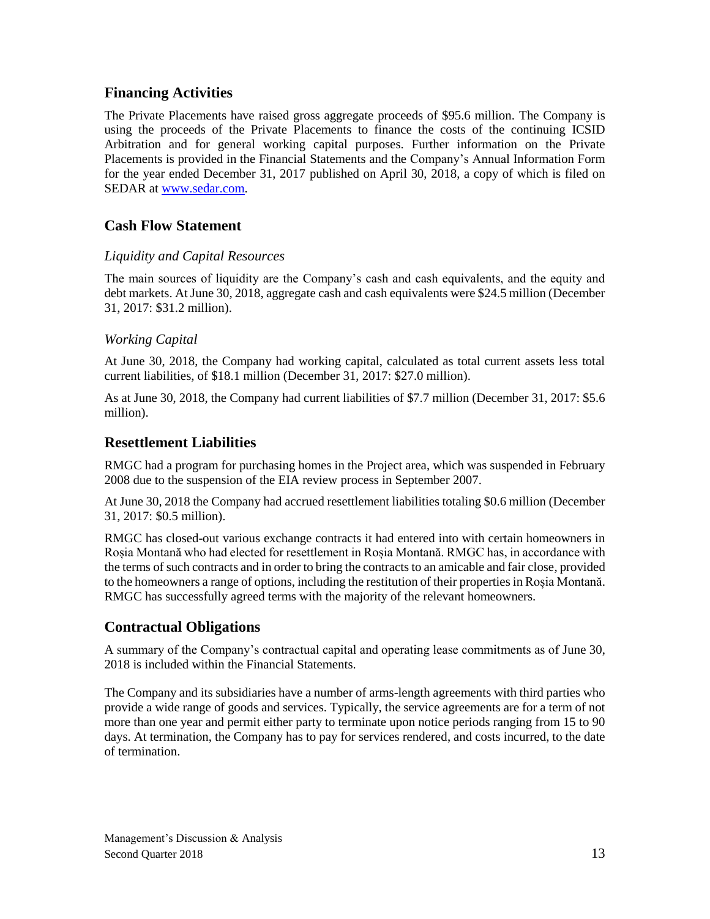## **Financing Activities**

The Private Placements have raised gross aggregate proceeds of \$95.6 million. The Company is using the proceeds of the Private Placements to finance the costs of the continuing ICSID Arbitration and for general working capital purposes. Further information on the Private Placements is provided in the Financial Statements and the Company's Annual Information Form for the year ended December 31, 2017 published on April 30, 2018, a copy of which is filed on SEDAR at [www.sedar.com.](http://www.sedar.com/)

## **Cash Flow Statement**

### *Liquidity and Capital Resources*

The main sources of liquidity are the Company's cash and cash equivalents, and the equity and debt markets. At June 30, 2018, aggregate cash and cash equivalents were \$24.5 million (December 31, 2017: \$31.2 million).

### *Working Capital*

At June 30, 2018, the Company had working capital, calculated as total current assets less total current liabilities, of \$18.1 million (December 31, 2017: \$27.0 million).

As at June 30, 2018, the Company had current liabilities of \$7.7 million (December 31, 2017: \$5.6 million).

## **Resettlement Liabilities**

RMGC had a program for purchasing homes in the Project area, which was suspended in February 2008 due to the suspension of the EIA review process in September 2007.

At June 30, 2018 the Company had accrued resettlement liabilities totaling \$0.6 million (December 31, 2017: \$0.5 million).

RMGC has closed-out various exchange contracts it had entered into with certain homeowners in Roșia Montană who had elected for resettlement in Roșia Montană. RMGC has, in accordance with the terms of such contracts and in order to bring the contracts to an amicable and fair close, provided to the homeowners a range of options, including the restitution of their properties in Roșia Montană. RMGC has successfully agreed terms with the majority of the relevant homeowners.

## **Contractual Obligations**

A summary of the Company's contractual capital and operating lease commitments as of June 30, 2018 is included within the Financial Statements.

The Company and its subsidiaries have a number of arms-length agreements with third parties who provide a wide range of goods and services. Typically, the service agreements are for a term of not more than one year and permit either party to terminate upon notice periods ranging from 15 to 90 days. At termination, the Company has to pay for services rendered, and costs incurred, to the date of termination.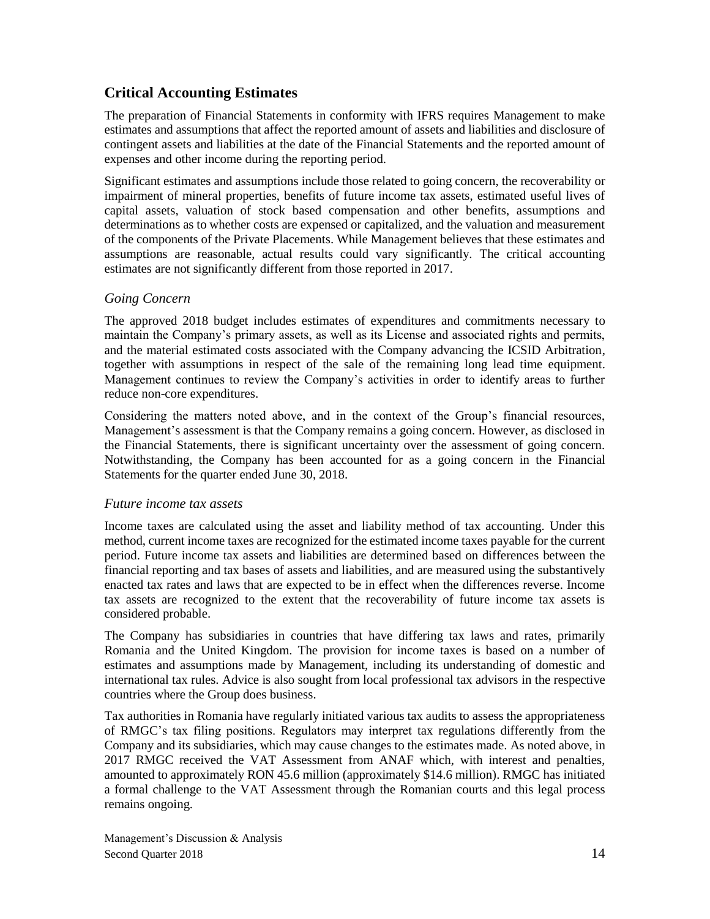## **Critical Accounting Estimates**

The preparation of Financial Statements in conformity with IFRS requires Management to make estimates and assumptions that affect the reported amount of assets and liabilities and disclosure of contingent assets and liabilities at the date of the Financial Statements and the reported amount of expenses and other income during the reporting period.

Significant estimates and assumptions include those related to going concern, the recoverability or impairment of mineral properties, benefits of future income tax assets, estimated useful lives of capital assets, valuation of stock based compensation and other benefits, assumptions and determinations as to whether costs are expensed or capitalized, and the valuation and measurement of the components of the Private Placements. While Management believes that these estimates and assumptions are reasonable, actual results could vary significantly. The critical accounting estimates are not significantly different from those reported in 2017.

#### *Going Concern*

The approved 2018 budget includes estimates of expenditures and commitments necessary to maintain the Company's primary assets, as well as its License and associated rights and permits, and the material estimated costs associated with the Company advancing the ICSID Arbitration, together with assumptions in respect of the sale of the remaining long lead time equipment. Management continues to review the Company's activities in order to identify areas to further reduce non-core expenditures.

Considering the matters noted above, and in the context of the Group's financial resources, Management's assessment is that the Company remains a going concern. However, as disclosed in the Financial Statements, there is significant uncertainty over the assessment of going concern. Notwithstanding, the Company has been accounted for as a going concern in the Financial Statements for the quarter ended June 30, 2018.

#### *Future income tax assets*

Income taxes are calculated using the asset and liability method of tax accounting. Under this method, current income taxes are recognized for the estimated income taxes payable for the current period. Future income tax assets and liabilities are determined based on differences between the financial reporting and tax bases of assets and liabilities, and are measured using the substantively enacted tax rates and laws that are expected to be in effect when the differences reverse. Income tax assets are recognized to the extent that the recoverability of future income tax assets is considered probable.

The Company has subsidiaries in countries that have differing tax laws and rates, primarily Romania and the United Kingdom. The provision for income taxes is based on a number of estimates and assumptions made by Management, including its understanding of domestic and international tax rules. Advice is also sought from local professional tax advisors in the respective countries where the Group does business.

Tax authorities in Romania have regularly initiated various tax audits to assess the appropriateness of RMGC's tax filing positions. Regulators may interpret tax regulations differently from the Company and its subsidiaries, which may cause changes to the estimates made. As noted above, in 2017 RMGC received the VAT Assessment from ANAF which, with interest and penalties, amounted to approximately RON 45.6 million (approximately \$14.6 million). RMGC has initiated a formal challenge to the VAT Assessment through the Romanian courts and this legal process remains ongoing.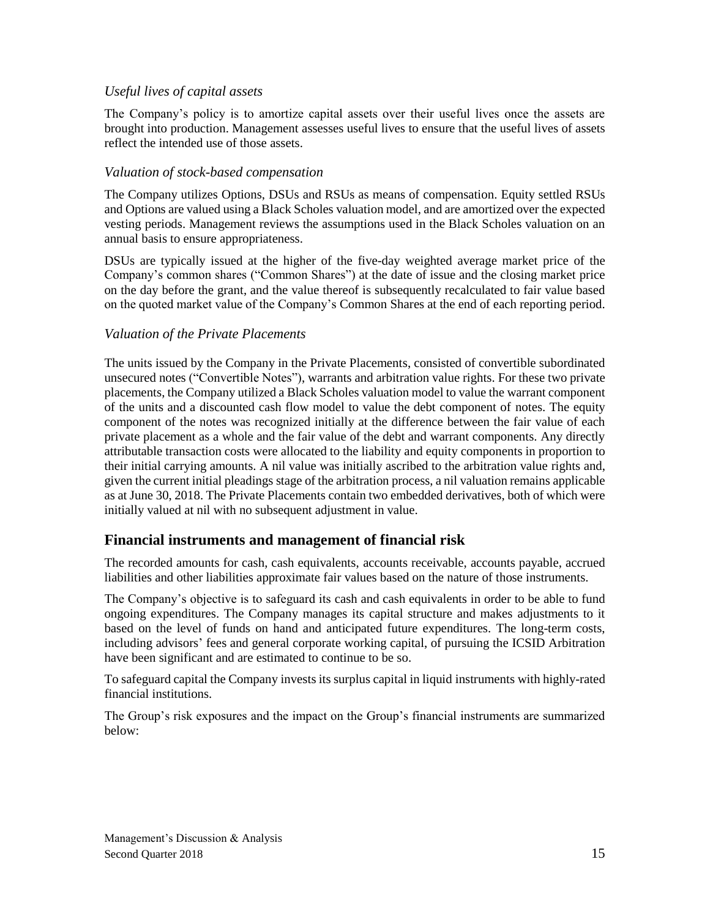### *Useful lives of capital assets*

The Company's policy is to amortize capital assets over their useful lives once the assets are brought into production. Management assesses useful lives to ensure that the useful lives of assets reflect the intended use of those assets.

#### *Valuation of stock-based compensation*

The Company utilizes Options, DSUs and RSUs as means of compensation. Equity settled RSUs and Options are valued using a Black Scholes valuation model, and are amortized over the expected vesting periods. Management reviews the assumptions used in the Black Scholes valuation on an annual basis to ensure appropriateness.

DSUs are typically issued at the higher of the five-day weighted average market price of the Company's common shares ("Common Shares") at the date of issue and the closing market price on the day before the grant, and the value thereof is subsequently recalculated to fair value based on the quoted market value of the Company's Common Shares at the end of each reporting period.

#### *Valuation of the Private Placements*

The units issued by the Company in the Private Placements, consisted of convertible subordinated unsecured notes ("Convertible Notes"), warrants and arbitration value rights. For these two private placements, the Company utilized a Black Scholes valuation model to value the warrant component of the units and a discounted cash flow model to value the debt component of notes. The equity component of the notes was recognized initially at the difference between the fair value of each private placement as a whole and the fair value of the debt and warrant components. Any directly attributable transaction costs were allocated to the liability and equity components in proportion to their initial carrying amounts. A nil value was initially ascribed to the arbitration value rights and, given the current initial pleadings stage of the arbitration process, a nil valuation remains applicable as at June 30, 2018. The Private Placements contain two embedded derivatives, both of which were initially valued at nil with no subsequent adjustment in value.

#### **Financial instruments and management of financial risk**

The recorded amounts for cash, cash equivalents, accounts receivable, accounts payable, accrued liabilities and other liabilities approximate fair values based on the nature of those instruments.

The Company's objective is to safeguard its cash and cash equivalents in order to be able to fund ongoing expenditures. The Company manages its capital structure and makes adjustments to it based on the level of funds on hand and anticipated future expenditures. The long-term costs, including advisors' fees and general corporate working capital, of pursuing the ICSID Arbitration have been significant and are estimated to continue to be so.

To safeguard capital the Company invests its surplus capital in liquid instruments with highly-rated financial institutions.

The Group's risk exposures and the impact on the Group's financial instruments are summarized below: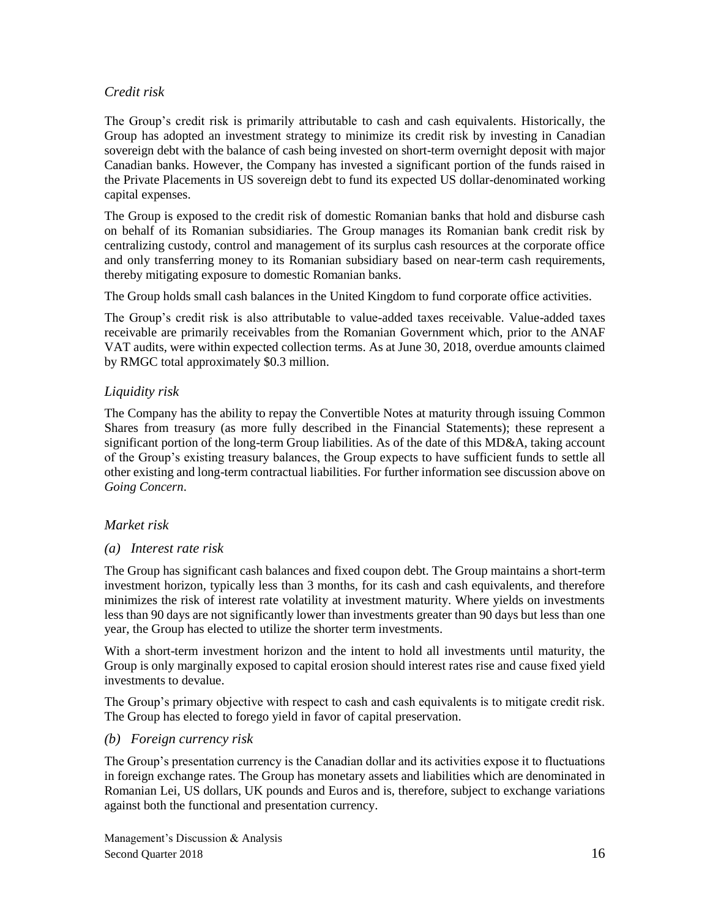### *Credit risk*

The Group's credit risk is primarily attributable to cash and cash equivalents. Historically, the Group has adopted an investment strategy to minimize its credit risk by investing in Canadian sovereign debt with the balance of cash being invested on short-term overnight deposit with major Canadian banks. However, the Company has invested a significant portion of the funds raised in the Private Placements in US sovereign debt to fund its expected US dollar-denominated working capital expenses.

The Group is exposed to the credit risk of domestic Romanian banks that hold and disburse cash on behalf of its Romanian subsidiaries. The Group manages its Romanian bank credit risk by centralizing custody, control and management of its surplus cash resources at the corporate office and only transferring money to its Romanian subsidiary based on near-term cash requirements, thereby mitigating exposure to domestic Romanian banks.

The Group holds small cash balances in the United Kingdom to fund corporate office activities.

The Group's credit risk is also attributable to value-added taxes receivable. Value-added taxes receivable are primarily receivables from the Romanian Government which, prior to the ANAF VAT audits, were within expected collection terms. As at June 30, 2018, overdue amounts claimed by RMGC total approximately \$0.3 million.

#### *Liquidity risk*

The Company has the ability to repay the Convertible Notes at maturity through issuing Common Shares from treasury (as more fully described in the Financial Statements); these represent a significant portion of the long-term Group liabilities. As of the date of this MD&A, taking account of the Group's existing treasury balances, the Group expects to have sufficient funds to settle all other existing and long-term contractual liabilities. For further information see discussion above on *Going Concern*.

#### *Market risk*

#### *(a) Interest rate risk*

The Group has significant cash balances and fixed coupon debt. The Group maintains a short-term investment horizon, typically less than 3 months, for its cash and cash equivalents, and therefore minimizes the risk of interest rate volatility at investment maturity. Where yields on investments less than 90 days are not significantly lower than investments greater than 90 days but less than one year, the Group has elected to utilize the shorter term investments.

With a short-term investment horizon and the intent to hold all investments until maturity, the Group is only marginally exposed to capital erosion should interest rates rise and cause fixed yield investments to devalue.

The Group's primary objective with respect to cash and cash equivalents is to mitigate credit risk. The Group has elected to forego yield in favor of capital preservation.

#### *(b) Foreign currency risk*

The Group's presentation currency is the Canadian dollar and its activities expose it to fluctuations in foreign exchange rates. The Group has monetary assets and liabilities which are denominated in Romanian Lei, US dollars, UK pounds and Euros and is, therefore, subject to exchange variations against both the functional and presentation currency.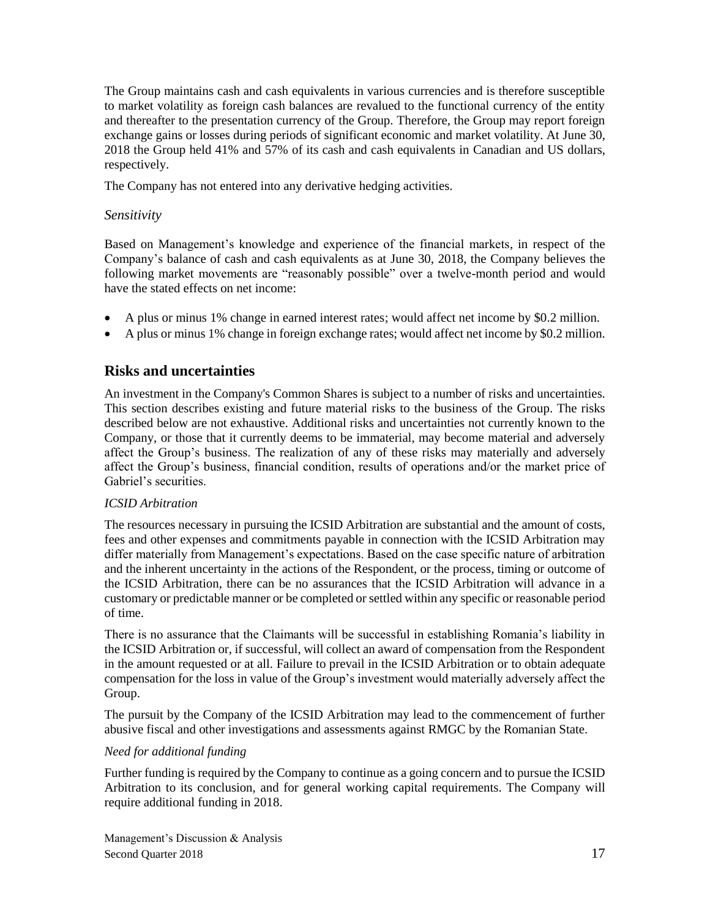The Group maintains cash and cash equivalents in various currencies and is therefore susceptible to market volatility as foreign cash balances are revalued to the functional currency of the entity and thereafter to the presentation currency of the Group. Therefore, the Group may report foreign exchange gains or losses during periods of significant economic and market volatility. At June 30, 2018 the Group held 41% and 57% of its cash and cash equivalents in Canadian and US dollars, respectively.

The Company has not entered into any derivative hedging activities.

#### *Sensitivity*

Based on Management's knowledge and experience of the financial markets, in respect of the Company's balance of cash and cash equivalents as at June 30, 2018, the Company believes the following market movements are "reasonably possible" over a twelve-month period and would have the stated effects on net income:

- A plus or minus 1% change in earned interest rates; would affect net income by \$0.2 million.
- A plus or minus 1% change in foreign exchange rates; would affect net income by \$0.2 million.

### **Risks and uncertainties**

An investment in the Company's Common Shares is subject to a number of risks and uncertainties. This section describes existing and future material risks to the business of the Group. The risks described below are not exhaustive. Additional risks and uncertainties not currently known to the Company, or those that it currently deems to be immaterial, may become material and adversely affect the Group's business. The realization of any of these risks may materially and adversely affect the Group's business, financial condition, results of operations and/or the market price of Gabriel's securities.

#### *ICSID Arbitration*

The resources necessary in pursuing the ICSID Arbitration are substantial and the amount of costs, fees and other expenses and commitments payable in connection with the ICSID Arbitration may differ materially from Management's expectations. Based on the case specific nature of arbitration and the inherent uncertainty in the actions of the Respondent, or the process, timing or outcome of the ICSID Arbitration, there can be no assurances that the ICSID Arbitration will advance in a customary or predictable manner or be completed or settled within any specific or reasonable period of time.

There is no assurance that the Claimants will be successful in establishing Romania's liability in the ICSID Arbitration or, if successful, will collect an award of compensation from the Respondent in the amount requested or at all. Failure to prevail in the ICSID Arbitration or to obtain adequate compensation for the loss in value of the Group's investment would materially adversely affect the Group.

The pursuit by the Company of the ICSID Arbitration may lead to the commencement of further abusive fiscal and other investigations and assessments against RMGC by the Romanian State.

#### *Need for additional funding*

Further funding is required by the Company to continue as a going concern and to pursue the ICSID Arbitration to its conclusion, and for general working capital requirements. The Company will require additional funding in 2018.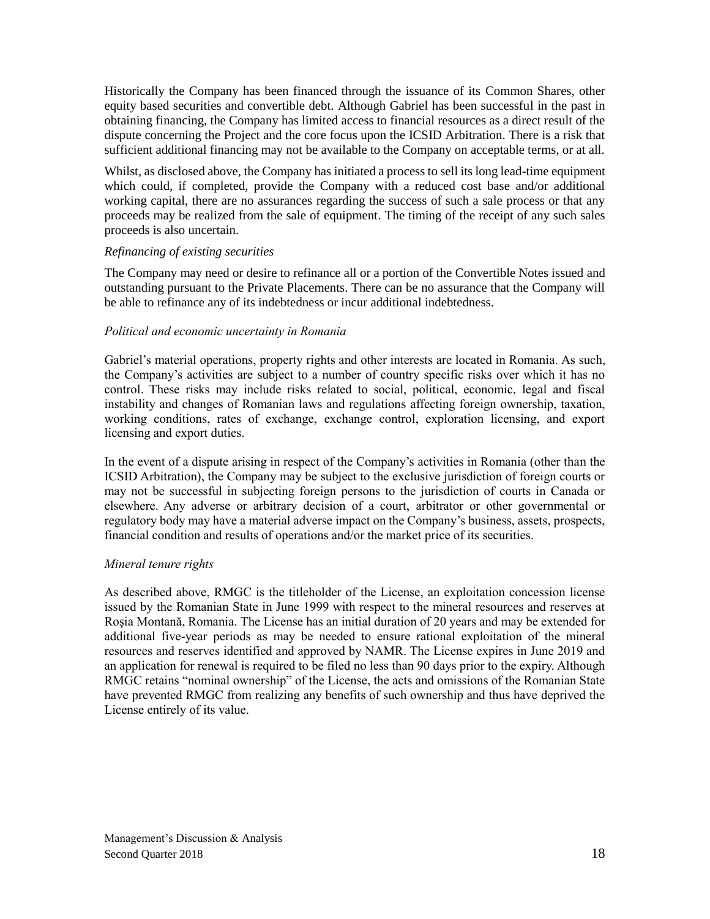Historically the Company has been financed through the issuance of its Common Shares, other equity based securities and convertible debt. Although Gabriel has been successful in the past in obtaining financing, the Company has limited access to financial resources as a direct result of the dispute concerning the Project and the core focus upon the ICSID Arbitration. There is a risk that sufficient additional financing may not be available to the Company on acceptable terms, or at all.

Whilst, as disclosed above, the Company has initiated a process to sell its long lead-time equipment which could, if completed, provide the Company with a reduced cost base and/or additional working capital, there are no assurances regarding the success of such a sale process or that any proceeds may be realized from the sale of equipment. The timing of the receipt of any such sales proceeds is also uncertain.

#### *Refinancing of existing securities*

The Company may need or desire to refinance all or a portion of the Convertible Notes issued and outstanding pursuant to the Private Placements. There can be no assurance that the Company will be able to refinance any of its indebtedness or incur additional indebtedness.

#### *Political and economic uncertainty in Romania*

Gabriel's material operations, property rights and other interests are located in Romania. As such, the Company's activities are subject to a number of country specific risks over which it has no control. These risks may include risks related to social, political, economic, legal and fiscal instability and changes of Romanian laws and regulations affecting foreign ownership, taxation, working conditions, rates of exchange, exchange control, exploration licensing, and export licensing and export duties.

In the event of a dispute arising in respect of the Company's activities in Romania (other than the ICSID Arbitration), the Company may be subject to the exclusive jurisdiction of foreign courts or may not be successful in subjecting foreign persons to the jurisdiction of courts in Canada or elsewhere. Any adverse or arbitrary decision of a court, arbitrator or other governmental or regulatory body may have a material adverse impact on the Company's business, assets, prospects, financial condition and results of operations and/or the market price of its securities.

#### *Mineral tenure rights*

As described above, RMGC is the titleholder of the License, an exploitation concession license issued by the Romanian State in June 1999 with respect to the mineral resources and reserves at Roşia Montană, Romania. The License has an initial duration of 20 years and may be extended for additional five-year periods as may be needed to ensure rational exploitation of the mineral resources and reserves identified and approved by NAMR. The License expires in June 2019 and an application for renewal is required to be filed no less than 90 days prior to the expiry. Although RMGC retains "nominal ownership" of the License, the acts and omissions of the Romanian State have prevented RMGC from realizing any benefits of such ownership and thus have deprived the License entirely of its value.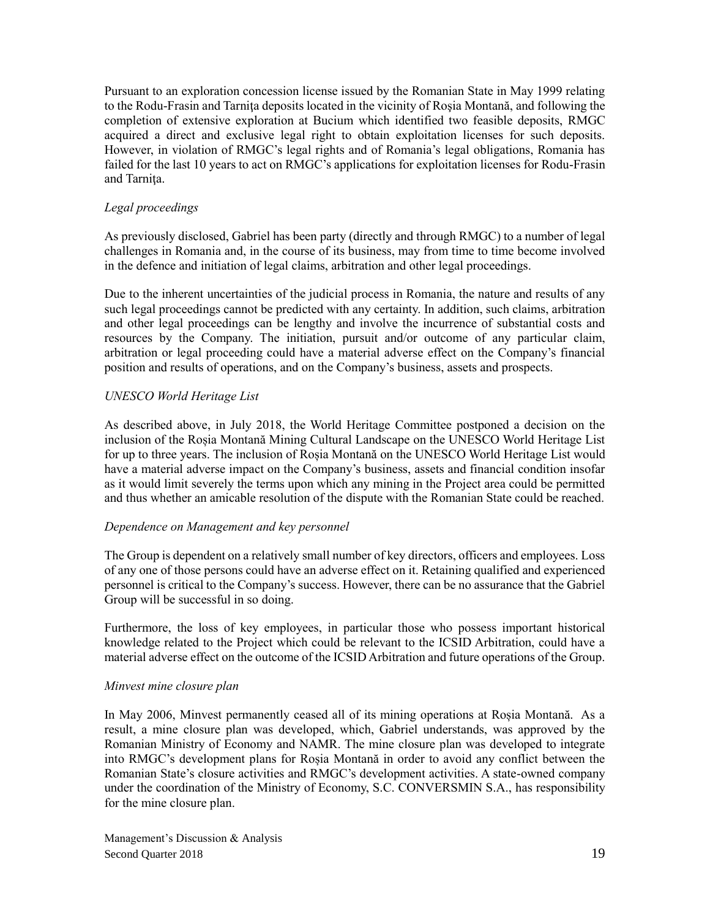Pursuant to an exploration concession license issued by the Romanian State in May 1999 relating to the Rodu-Frasin and Tarnita deposits located in the vicinity of Rosia Montană, and following the completion of extensive exploration at Bucium which identified two feasible deposits, RMGC acquired a direct and exclusive legal right to obtain exploitation licenses for such deposits. However, in violation of RMGC's legal rights and of Romania's legal obligations, Romania has failed for the last 10 years to act on RMGC's applications for exploitation licenses for Rodu-Frasin and Tarnita.

#### *Legal proceedings*

As previously disclosed, Gabriel has been party (directly and through RMGC) to a number of legal challenges in Romania and, in the course of its business, may from time to time become involved in the defence and initiation of legal claims, arbitration and other legal proceedings.

Due to the inherent uncertainties of the judicial process in Romania, the nature and results of any such legal proceedings cannot be predicted with any certainty. In addition, such claims, arbitration and other legal proceedings can be lengthy and involve the incurrence of substantial costs and resources by the Company. The initiation, pursuit and/or outcome of any particular claim, arbitration or legal proceeding could have a material adverse effect on the Company's financial position and results of operations, and on the Company's business, assets and prospects.

#### *UNESCO World Heritage List*

As described above, in July 2018, the World Heritage Committee postponed a decision on the inclusion of the Roșia Montană Mining Cultural Landscape on the UNESCO World Heritage List for up to three years. The inclusion of Roșia Montană on the UNESCO World Heritage List would have a material adverse impact on the Company's business, assets and financial condition insofar as it would limit severely the terms upon which any mining in the Project area could be permitted and thus whether an amicable resolution of the dispute with the Romanian State could be reached.

#### *Dependence on Management and key personnel*

The Group is dependent on a relatively small number of key directors, officers and employees. Loss of any one of those persons could have an adverse effect on it. Retaining qualified and experienced personnel is critical to the Company's success. However, there can be no assurance that the Gabriel Group will be successful in so doing.

Furthermore, the loss of key employees, in particular those who possess important historical knowledge related to the Project which could be relevant to the ICSID Arbitration, could have a material adverse effect on the outcome of the ICSID Arbitration and future operations of the Group.

#### *Minvest mine closure plan*

In May 2006, Minvest permanently ceased all of its mining operations at Roșia Montană. As a result, a mine closure plan was developed, which, Gabriel understands, was approved by the Romanian Ministry of Economy and NAMR. The mine closure plan was developed to integrate into RMGC's development plans for Roșia Montană in order to avoid any conflict between the Romanian State's closure activities and RMGC's development activities. A state-owned company under the coordination of the Ministry of Economy, S.C. CONVERSMIN S.A., has responsibility for the mine closure plan.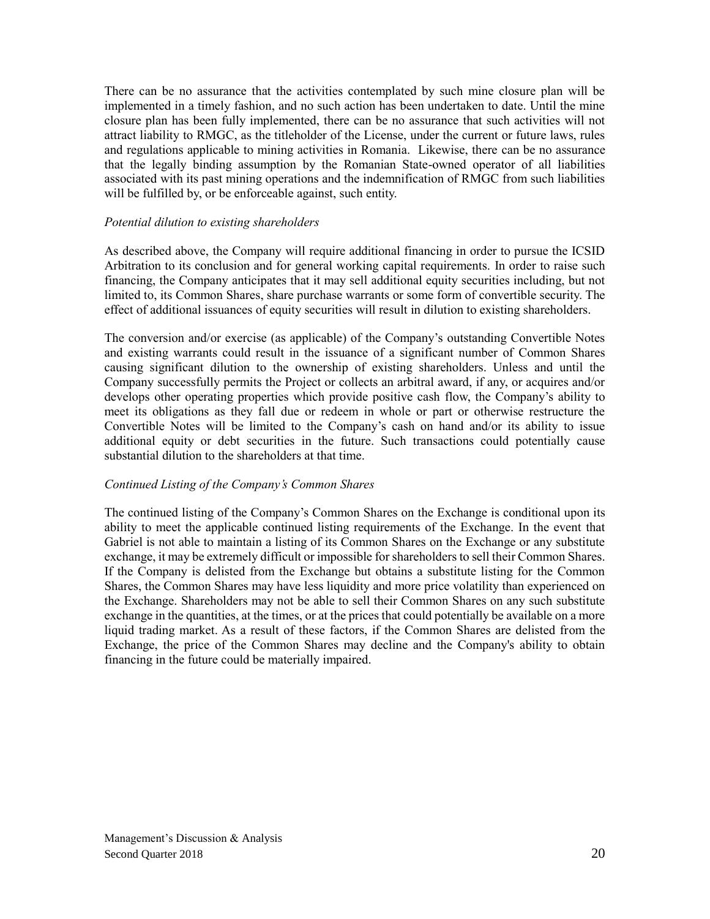There can be no assurance that the activities contemplated by such mine closure plan will be implemented in a timely fashion, and no such action has been undertaken to date. Until the mine closure plan has been fully implemented, there can be no assurance that such activities will not attract liability to RMGC, as the titleholder of the License, under the current or future laws, rules and regulations applicable to mining activities in Romania. Likewise, there can be no assurance that the legally binding assumption by the Romanian State-owned operator of all liabilities associated with its past mining operations and the indemnification of RMGC from such liabilities will be fulfilled by, or be enforceable against, such entity.

#### *Potential dilution to existing shareholders*

As described above, the Company will require additional financing in order to pursue the ICSID Arbitration to its conclusion and for general working capital requirements. In order to raise such financing, the Company anticipates that it may sell additional equity securities including, but not limited to, its Common Shares, share purchase warrants or some form of convertible security. The effect of additional issuances of equity securities will result in dilution to existing shareholders.

The conversion and/or exercise (as applicable) of the Company's outstanding Convertible Notes and existing warrants could result in the issuance of a significant number of Common Shares causing significant dilution to the ownership of existing shareholders. Unless and until the Company successfully permits the Project or collects an arbitral award, if any, or acquires and/or develops other operating properties which provide positive cash flow, the Company's ability to meet its obligations as they fall due or redeem in whole or part or otherwise restructure the Convertible Notes will be limited to the Company's cash on hand and/or its ability to issue additional equity or debt securities in the future. Such transactions could potentially cause substantial dilution to the shareholders at that time.

#### *Continued Listing of the Company's Common Shares*

The continued listing of the Company's Common Shares on the Exchange is conditional upon its ability to meet the applicable continued listing requirements of the Exchange. In the event that Gabriel is not able to maintain a listing of its Common Shares on the Exchange or any substitute exchange, it may be extremely difficult or impossible for shareholders to sell their Common Shares. If the Company is delisted from the Exchange but obtains a substitute listing for the Common Shares, the Common Shares may have less liquidity and more price volatility than experienced on the Exchange. Shareholders may not be able to sell their Common Shares on any such substitute exchange in the quantities, at the times, or at the prices that could potentially be available on a more liquid trading market. As a result of these factors, if the Common Shares are delisted from the Exchange, the price of the Common Shares may decline and the Company's ability to obtain financing in the future could be materially impaired.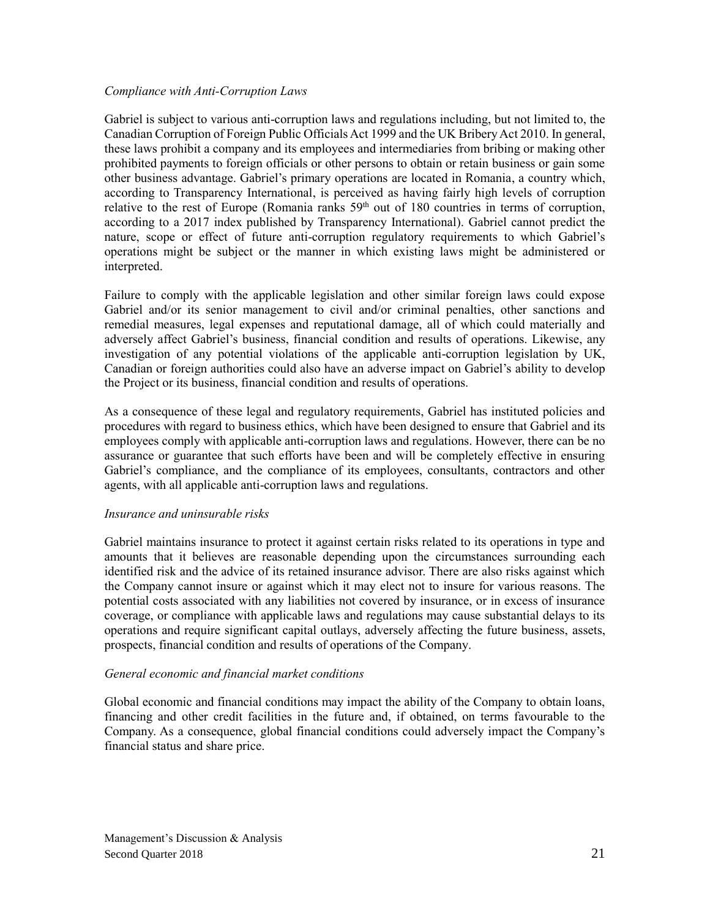#### *Compliance with Anti-Corruption Laws*

Gabriel is subject to various anti-corruption laws and regulations including, but not limited to, the Canadian Corruption of Foreign Public Officials Act 1999 and the UK Bribery Act 2010. In general, these laws prohibit a company and its employees and intermediaries from bribing or making other prohibited payments to foreign officials or other persons to obtain or retain business or gain some other business advantage. Gabriel's primary operations are located in Romania, a country which, according to Transparency International, is perceived as having fairly high levels of corruption relative to the rest of Europe (Romania ranks  $59<sup>th</sup>$  out of 180 countries in terms of corruption, according to a 2017 index published by Transparency International). Gabriel cannot predict the nature, scope or effect of future anti-corruption regulatory requirements to which Gabriel's operations might be subject or the manner in which existing laws might be administered or interpreted.

Failure to comply with the applicable legislation and other similar foreign laws could expose Gabriel and/or its senior management to civil and/or criminal penalties, other sanctions and remedial measures, legal expenses and reputational damage, all of which could materially and adversely affect Gabriel's business, financial condition and results of operations. Likewise, any investigation of any potential violations of the applicable anti-corruption legislation by UK, Canadian or foreign authorities could also have an adverse impact on Gabriel's ability to develop the Project or its business, financial condition and results of operations.

As a consequence of these legal and regulatory requirements, Gabriel has instituted policies and procedures with regard to business ethics, which have been designed to ensure that Gabriel and its employees comply with applicable anti-corruption laws and regulations. However, there can be no assurance or guarantee that such efforts have been and will be completely effective in ensuring Gabriel's compliance, and the compliance of its employees, consultants, contractors and other agents, with all applicable anti-corruption laws and regulations.

#### *Insurance and uninsurable risks*

Gabriel maintains insurance to protect it against certain risks related to its operations in type and amounts that it believes are reasonable depending upon the circumstances surrounding each identified risk and the advice of its retained insurance advisor. There are also risks against which the Company cannot insure or against which it may elect not to insure for various reasons. The potential costs associated with any liabilities not covered by insurance, or in excess of insurance coverage, or compliance with applicable laws and regulations may cause substantial delays to its operations and require significant capital outlays, adversely affecting the future business, assets, prospects, financial condition and results of operations of the Company.

#### *General economic and financial market conditions*

Global economic and financial conditions may impact the ability of the Company to obtain loans, financing and other credit facilities in the future and, if obtained, on terms favourable to the Company. As a consequence, global financial conditions could adversely impact the Company's financial status and share price.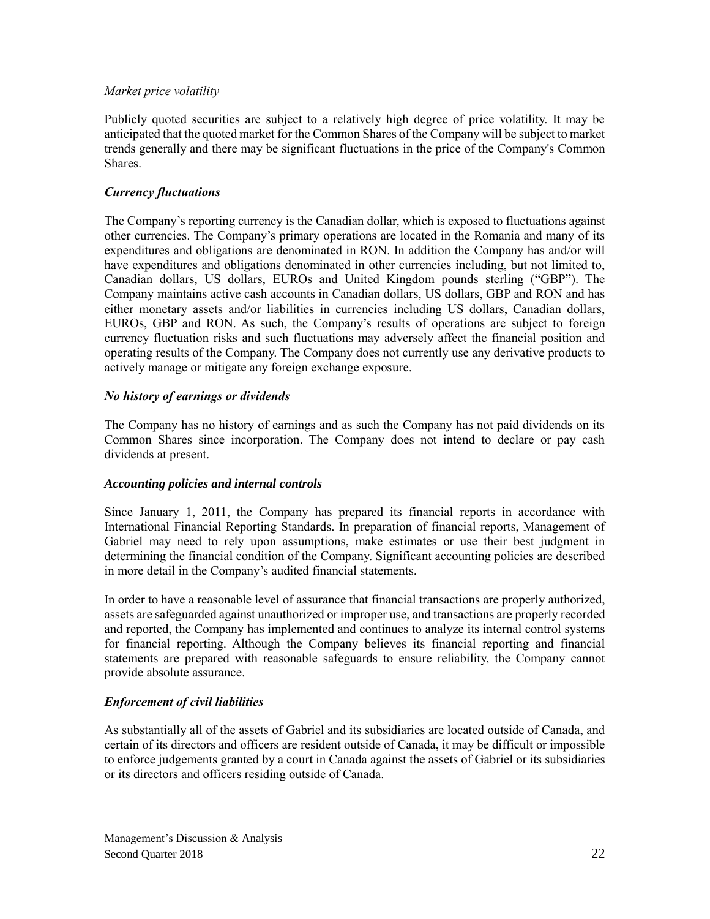#### *Market price volatility*

Publicly quoted securities are subject to a relatively high degree of price volatility. It may be anticipated that the quoted market for the Common Shares of the Company will be subject to market trends generally and there may be significant fluctuations in the price of the Company's Common **Shares**.

#### *Currency fluctuations*

The Company's reporting currency is the Canadian dollar, which is exposed to fluctuations against other currencies. The Company's primary operations are located in the Romania and many of its expenditures and obligations are denominated in RON. In addition the Company has and/or will have expenditures and obligations denominated in other currencies including, but not limited to, Canadian dollars, US dollars, EUROs and United Kingdom pounds sterling ("GBP"). The Company maintains active cash accounts in Canadian dollars, US dollars, GBP and RON and has either monetary assets and/or liabilities in currencies including US dollars, Canadian dollars, EUROs, GBP and RON. As such, the Company's results of operations are subject to foreign currency fluctuation risks and such fluctuations may adversely affect the financial position and operating results of the Company. The Company does not currently use any derivative products to actively manage or mitigate any foreign exchange exposure.

#### *No history of earnings or dividends*

The Company has no history of earnings and as such the Company has not paid dividends on its Common Shares since incorporation. The Company does not intend to declare or pay cash dividends at present.

#### *Accounting policies and internal controls*

Since January 1, 2011, the Company has prepared its financial reports in accordance with International Financial Reporting Standards. In preparation of financial reports, Management of Gabriel may need to rely upon assumptions, make estimates or use their best judgment in determining the financial condition of the Company. Significant accounting policies are described in more detail in the Company's audited financial statements.

In order to have a reasonable level of assurance that financial transactions are properly authorized, assets are safeguarded against unauthorized or improper use, and transactions are properly recorded and reported, the Company has implemented and continues to analyze its internal control systems for financial reporting. Although the Company believes its financial reporting and financial statements are prepared with reasonable safeguards to ensure reliability, the Company cannot provide absolute assurance.

#### *Enforcement of civil liabilities*

As substantially all of the assets of Gabriel and its subsidiaries are located outside of Canada, and certain of its directors and officers are resident outside of Canada, it may be difficult or impossible to enforce judgements granted by a court in Canada against the assets of Gabriel or its subsidiaries or its directors and officers residing outside of Canada.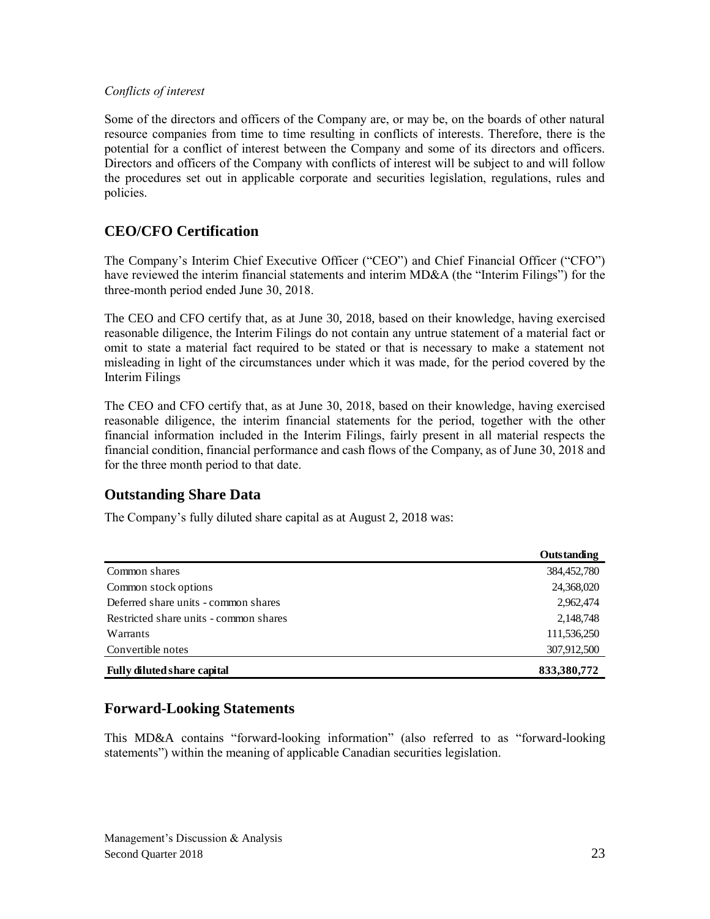#### *Conflicts of interest*

Some of the directors and officers of the Company are, or may be, on the boards of other natural resource companies from time to time resulting in conflicts of interests. Therefore, there is the potential for a conflict of interest between the Company and some of its directors and officers. Directors and officers of the Company with conflicts of interest will be subject to and will follow the procedures set out in applicable corporate and securities legislation, regulations, rules and policies.

## **CEO/CFO Certification**

The Company's Interim Chief Executive Officer ("CEO") and Chief Financial Officer ("CFO") have reviewed the interim financial statements and interim MD&A (the "Interim Filings") for the three-month period ended June 30, 2018.

The CEO and CFO certify that, as at June 30, 2018, based on their knowledge, having exercised reasonable diligence, the Interim Filings do not contain any untrue statement of a material fact or omit to state a material fact required to be stated or that is necessary to make a statement not misleading in light of the circumstances under which it was made, for the period covered by the Interim Filings

The CEO and CFO certify that, as at June 30, 2018, based on their knowledge, having exercised reasonable diligence, the interim financial statements for the period, together with the other financial information included in the Interim Filings, fairly present in all material respects the financial condition, financial performance and cash flows of the Company, as of June 30, 2018 and for the three month period to that date.

## **Outstanding Share Data**

The Company's fully diluted share capital as at August 2, 2018 was:

|                                        | Outstanding |
|----------------------------------------|-------------|
| Common shares                          | 384,452,780 |
| Common stock options                   | 24,368,020  |
| Deferred share units - common shares   | 2,962,474   |
| Restricted share units - common shares | 2,148,748   |
| Warrants                               | 111,536,250 |
| Convertible notes                      | 307,912,500 |
| <b>Fully diluted share capital</b>     | 833,380,772 |

## **Forward-Looking Statements**

This MD&A contains "forward-looking information" (also referred to as "forward-looking statements") within the meaning of applicable Canadian securities legislation.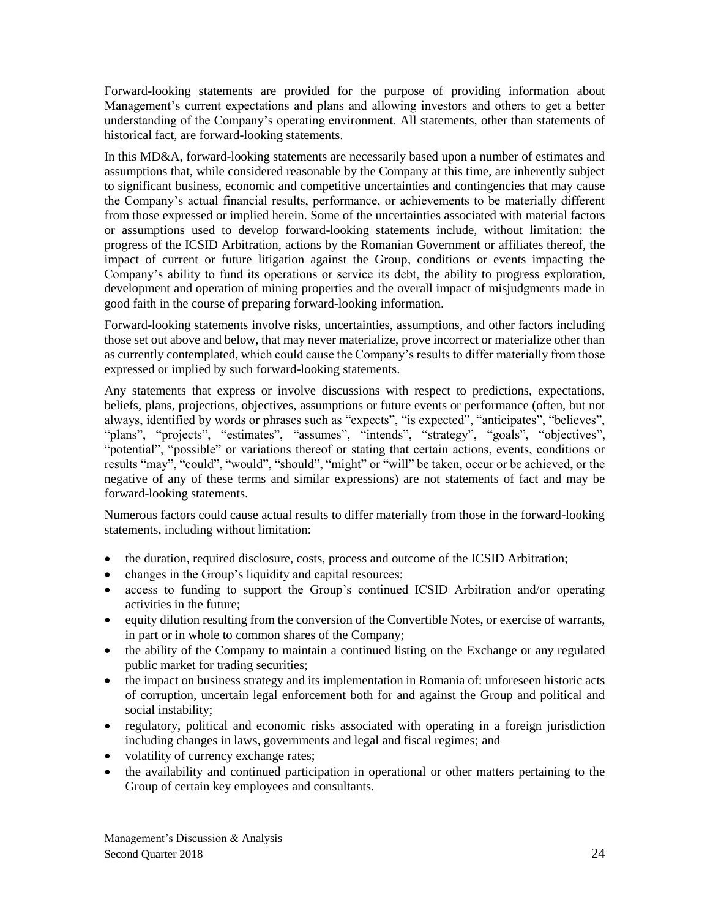Forward-looking statements are provided for the purpose of providing information about Management's current expectations and plans and allowing investors and others to get a better understanding of the Company's operating environment. All statements, other than statements of historical fact, are forward-looking statements.

In this MD&A, forward-looking statements are necessarily based upon a number of estimates and assumptions that, while considered reasonable by the Company at this time, are inherently subject to significant business, economic and competitive uncertainties and contingencies that may cause the Company's actual financial results, performance, or achievements to be materially different from those expressed or implied herein. Some of the uncertainties associated with material factors or assumptions used to develop forward-looking statements include, without limitation: the progress of the ICSID Arbitration, actions by the Romanian Government or affiliates thereof, the impact of current or future litigation against the Group, conditions or events impacting the Company's ability to fund its operations or service its debt, the ability to progress exploration, development and operation of mining properties and the overall impact of misjudgments made in good faith in the course of preparing forward-looking information.

Forward-looking statements involve risks, uncertainties, assumptions, and other factors including those set out above and below, that may never materialize, prove incorrect or materialize other than as currently contemplated, which could cause the Company's results to differ materially from those expressed or implied by such forward-looking statements.

Any statements that express or involve discussions with respect to predictions, expectations, beliefs, plans, projections, objectives, assumptions or future events or performance (often, but not always, identified by words or phrases such as "expects", "is expected", "anticipates", "believes", "plans", "projects", "estimates", "assumes", "intends", "strategy", "goals", "objectives", "potential", "possible" or variations thereof or stating that certain actions, events, conditions or results "may", "could", "would", "should", "might" or "will" be taken, occur or be achieved, or the negative of any of these terms and similar expressions) are not statements of fact and may be forward-looking statements.

Numerous factors could cause actual results to differ materially from those in the forward-looking statements, including without limitation:

- the duration, required disclosure, costs, process and outcome of the ICSID Arbitration;
- changes in the Group's liquidity and capital resources;
- access to funding to support the Group's continued ICSID Arbitration and/or operating activities in the future;
- equity dilution resulting from the conversion of the Convertible Notes, or exercise of warrants, in part or in whole to common shares of the Company;
- the ability of the Company to maintain a continued listing on the Exchange or any regulated public market for trading securities;
- the impact on business strategy and its implementation in Romania of: unforeseen historic acts of corruption, uncertain legal enforcement both for and against the Group and political and social instability;
- regulatory, political and economic risks associated with operating in a foreign jurisdiction including changes in laws, governments and legal and fiscal regimes; and
- volatility of currency exchange rates;
- the availability and continued participation in operational or other matters pertaining to the Group of certain key employees and consultants.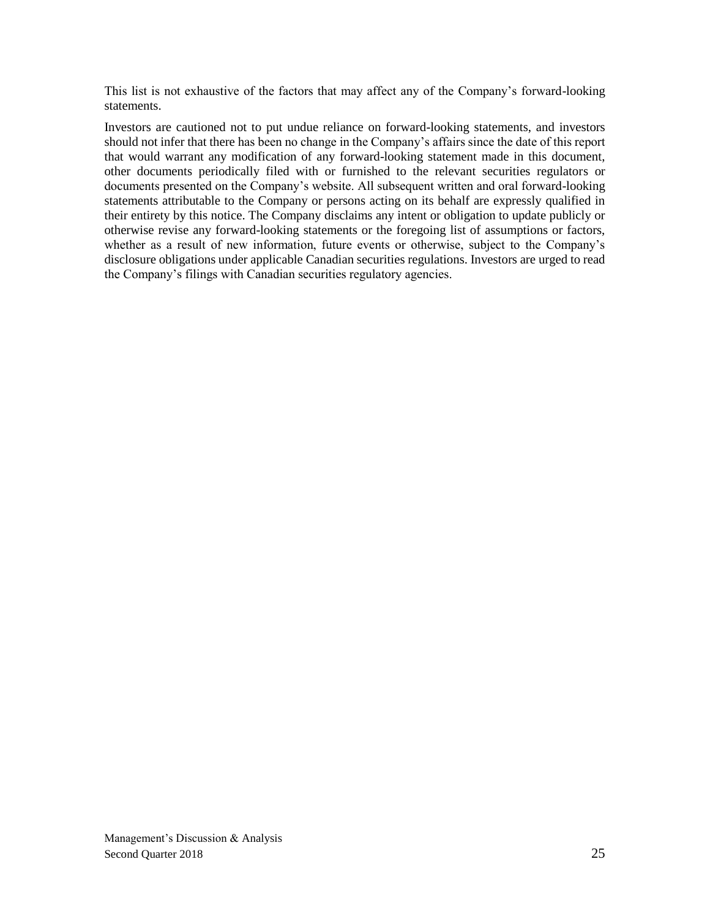This list is not exhaustive of the factors that may affect any of the Company's forward-looking statements.

Investors are cautioned not to put undue reliance on forward-looking statements, and investors should not infer that there has been no change in the Company's affairs since the date of this report that would warrant any modification of any forward-looking statement made in this document, other documents periodically filed with or furnished to the relevant securities regulators or documents presented on the Company's website. All subsequent written and oral forward-looking statements attributable to the Company or persons acting on its behalf are expressly qualified in their entirety by this notice. The Company disclaims any intent or obligation to update publicly or otherwise revise any forward-looking statements or the foregoing list of assumptions or factors, whether as a result of new information, future events or otherwise, subject to the Company's disclosure obligations under applicable Canadian securities regulations. Investors are urged to read the Company's filings with Canadian securities regulatory agencies.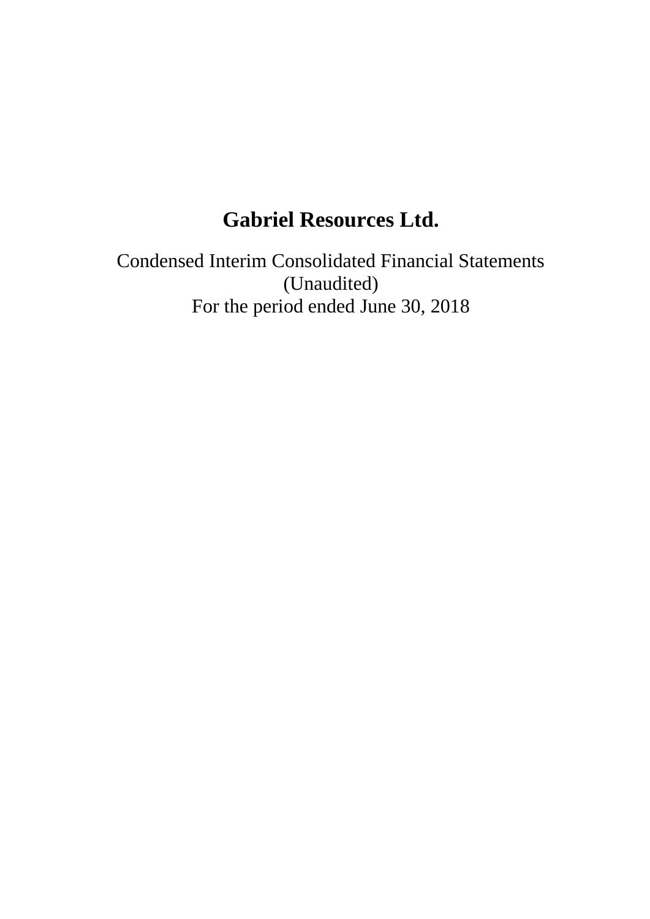# **Gabriel Resources Ltd.**

Condensed Interim Consolidated Financial Statements (Unaudited) For the period ended June 30, 2018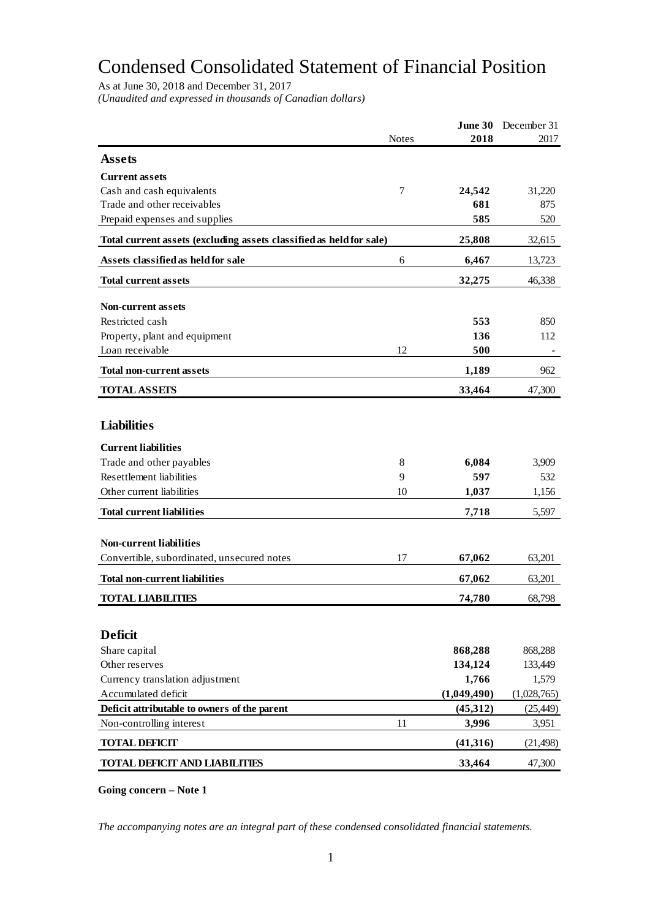# Condensed Consolidated Statement of Financial Position

As at June 30, 2018 and December 31, 2017

*(Unaudited and expressed in thousands of Canadian dollars)*

|                                                                     |              | June 30     | December 31 |
|---------------------------------------------------------------------|--------------|-------------|-------------|
|                                                                     | <b>Notes</b> | 2018        | 2017        |
| <b>Assets</b>                                                       |              |             |             |
| <b>Current assets</b>                                               |              |             |             |
| Cash and cash equivalents                                           | 7            | 24,542      | 31,220      |
| Trade and other receivables                                         |              | 681         | 875         |
| Prepaid expenses and supplies                                       |              | 585         | 520         |
| Total current assets (excluding assets classified as held for sale) |              | 25,808      | 32,615      |
| Assets classified as held for sale                                  | 6            | 6,467       | 13,723      |
|                                                                     |              |             |             |
| <b>Total current assets</b>                                         |              | 32,275      | 46,338      |
| <b>Non-current assets</b>                                           |              |             |             |
| Restricted cash                                                     |              | 553         | 850         |
| Property, plant and equipment                                       |              | 136         | 112         |
| Loan receivable                                                     | 12           | 500         |             |
| <b>Total non-current assets</b>                                     |              | 1,189       | 962         |
| <b>TOTAL ASSETS</b>                                                 |              | 33,464      | 47,300      |
|                                                                     |              |             |             |
| <b>Liabilities</b>                                                  |              |             |             |
| <b>Current liabilities</b>                                          |              |             |             |
| Trade and other payables                                            | 8            | 6,084       | 3,909       |
| Resettlement liabilities                                            | 9            | 597         | 532         |
| Other current liabilities                                           | 10           | 1,037       | 1,156       |
| <b>Total current liabilities</b>                                    |              | 7,718       | 5,597       |
|                                                                     |              |             |             |
| <b>Non-current liabilities</b>                                      |              |             |             |
| Convertible, subordinated, unsecured notes                          | 17           | 67,062      | 63,201      |
| <b>Total non-current liabilities</b>                                |              | 67,062      | 63,201      |
| <b>TOTAL LIABILITIES</b>                                            |              | 74,780      |             |
|                                                                     |              |             | 68,798      |
|                                                                     |              |             |             |
| <b>Deficit</b>                                                      |              |             |             |
| Share capital                                                       |              | 868,288     | 868,288     |
| Other reserves                                                      |              | 134,124     | 133,449     |
| Currency translation adjustment                                     |              | 1,766       | 1,579       |
| Accumulated deficit                                                 |              | (1,049,490) | (1,028,765) |
| Deficit attributable to owners of the parent                        |              | (45,312)    | (25, 449)   |
| Non-controlling interest                                            | 11           | 3,996       | 3,951       |
| <b>TOTAL DEFICIT</b>                                                |              | (41,316)    | (21, 498)   |
| <b>TOTAL DEFICIT AND LIABILITIES</b>                                |              | 33,464      | 47,300      |

**Going concern – Note 1**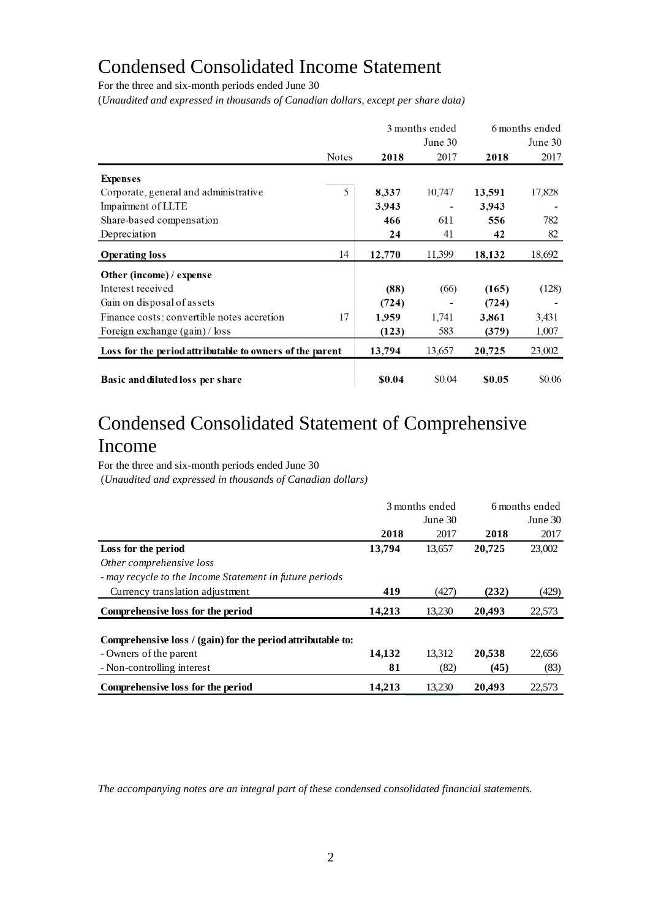# Condensed Consolidated Income Statement

For the three and six-month periods ended June 30

(*Unaudited and expressed in thousands of Canadian dollars, except per share data)*

|                                                          |              |        | 3 months ended           | 6 months ended |                          |
|----------------------------------------------------------|--------------|--------|--------------------------|----------------|--------------------------|
|                                                          |              |        | June 30                  |                | June 30                  |
|                                                          | <b>Notes</b> | 2018   | 2017                     | 2018           | 2017                     |
| <b>Expenses</b>                                          |              |        |                          |                |                          |
| Corporate, general and administrative                    | 5            | 8,337  | 10,747                   | 13,591         | 17,828                   |
| Impairment of LLTE                                       |              | 3,943  | $\overline{\phantom{a}}$ | 3,943          | $\overline{\phantom{a}}$ |
| Share-based compensation                                 |              | 466    | 611                      | 556            | 782                      |
| Depreciation                                             |              | 24     | 41                       | 42             | 82                       |
| <b>Operating loss</b>                                    | 14           | 12,770 | 11,399                   | 18,132         | 18,692                   |
| Other (income) / expense                                 |              |        |                          |                |                          |
| Interest received                                        |              | (88)   | (66)                     | (165)          | (128)                    |
| Gain on disposal of assets                               |              | (724)  |                          | (724)          |                          |
| Finance costs: convertible notes accretion               | 17           | 1,959  | 1,741                    | 3,861          | 3,431                    |
| Foreign exchange (gain) / loss                           |              | (123)  | 583                      | (379)          | 1,007                    |
| Loss for the period attributable to owners of the parent |              | 13,794 | 13,657                   | 20,725         | 23,002                   |
| Basic and diluted loss per share                         |              | \$0.04 | \$0.04                   | \$0.05         | \$0.06                   |

# Condensed Consolidated Statement of Comprehensive Income

For the three and six-month periods ended June 30 (*Unaudited and expressed in thousands of Canadian dollars)*

|                                                             |        | 3 months ended | 6 months ended |         |  |
|-------------------------------------------------------------|--------|----------------|----------------|---------|--|
|                                                             |        | June 30        |                | June 30 |  |
|                                                             | 2018   | 2017           | 2018           | 2017    |  |
| Loss for the period                                         | 13,794 | 13,657         | 20,725         | 23,002  |  |
| Other comprehensive loss                                    |        |                |                |         |  |
| - may recycle to the Income Statement in future periods     |        |                |                |         |  |
| Currency translation adjustment                             | 419    | (427)          | (232)          | (429)   |  |
| Comprehensive loss for the period                           | 14,213 | 13,230         | 20,493         | 22,573  |  |
|                                                             |        |                |                |         |  |
| Comprehensive loss / (gain) for the period attributable to: |        |                |                |         |  |
| - Owners of the parent                                      | 14,132 | 13,312         | 20,538         | 22,656  |  |
| - Non-controlling interest                                  | 81     | (82)           | (45)           | (83)    |  |
| Comprehensive loss for the period                           | 14,213 | 13,230         | 20,493         | 22,573  |  |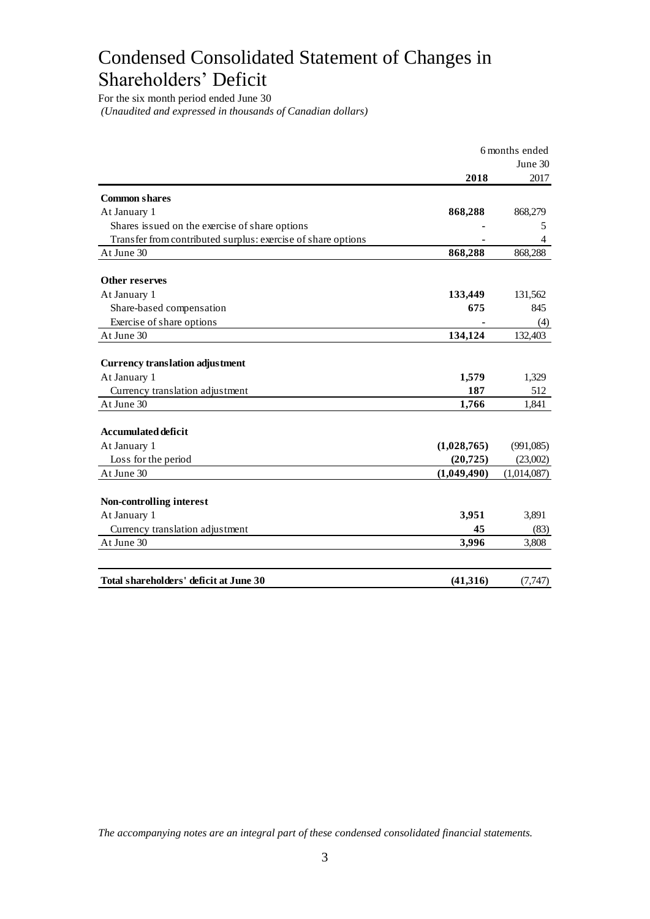# Condensed Consolidated Statement of Changes in Shareholders' Deficit

For the six month period ended June 30 *(Unaudited and expressed in thousands of Canadian dollars)*

|                                                              | 6 months ended |             |
|--------------------------------------------------------------|----------------|-------------|
|                                                              |                | June 30     |
|                                                              | 2018           | 2017        |
| <b>Common shares</b>                                         |                |             |
| At January 1                                                 | 868,288        | 868,279     |
| Shares issued on the exercise of share options               |                | 5           |
| Transfer from contributed surplus: exercise of share options |                | 4           |
| At June 30                                                   | 868,288        | 868,288     |
| <b>Other reserves</b>                                        |                |             |
| At January 1                                                 | 133,449        | 131,562     |
| Share-based compensation                                     | 675            | 845         |
| Exercise of share options                                    |                | (4)         |
| At June 30                                                   | 134,124        | 132,403     |
| <b>Currency translation adjustment</b>                       |                |             |
|                                                              |                |             |
| At January 1                                                 | 1,579          | 1,329       |
| Currency translation adjustment                              | 187            | 512         |
| At June 30                                                   | 1,766          | 1,841       |
| <b>Accumulated deficit</b>                                   |                |             |
| At January 1                                                 | (1,028,765)    | (991,085)   |
| Loss for the period                                          | (20, 725)      | (23,002)    |
| At June 30                                                   | (1,049,490)    | (1,014,087) |
|                                                              |                |             |
| Non-controlling interest                                     |                |             |
| At January 1                                                 | 3,951          | 3,891       |
| Currency translation adjustment                              | 45             | (83)        |
| At June 30                                                   | 3,996          | 3,808       |
| Total shareholders' deficit at June 30                       | (41,316)       | (7, 747)    |
|                                                              |                |             |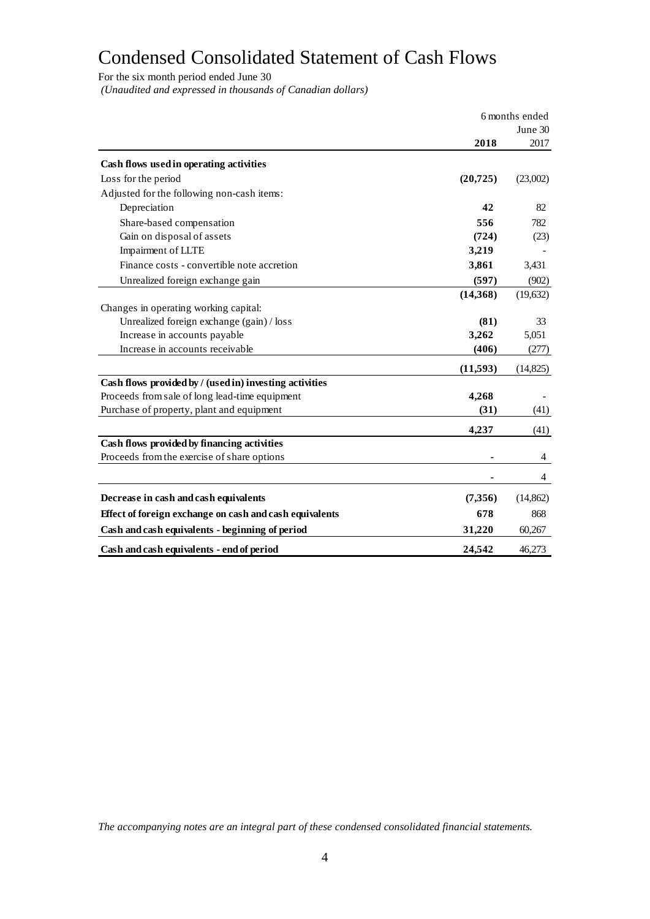# Condensed Consolidated Statement of Cash Flows

For the six month period ended June 30

*(Unaudited and expressed in thousands of Canadian dollars)*

|                                                         | 6 months ended |           |
|---------------------------------------------------------|----------------|-----------|
|                                                         |                | June 30   |
|                                                         | 2018           | 2017      |
| Cash flows used in operating activities                 |                |           |
| Loss for the period                                     | (20, 725)      | (23,002)  |
| Adjusted for the following non-cash items:              |                |           |
| Depreciation                                            | 42             | 82        |
| Share-based compensation                                | 556            | 782       |
| Gain on disposal of assets                              | (724)          | (23)      |
| Impairment of LLTE                                      | 3,219          |           |
| Finance costs - convertible note accretion              | 3,861          | 3,431     |
| Unrealized foreign exchange gain                        | (597)          | (902)     |
|                                                         | (14, 368)      | (19, 632) |
| Changes in operating working capital:                   |                |           |
| Unrealized foreign exchange (gain) / loss               | (81)           | 33        |
| Increase in accounts payable                            | 3,262          | 5,051     |
| Increase in accounts receivable                         | (406)          | (277)     |
|                                                         | (11,593)       | (14, 825) |
| Cash flows provided by / (used in) investing activities |                |           |
| Proceeds from sale of long lead-time equipment          | 4,268          |           |
| Purchase of property, plant and equipment               | (31)           | (41)      |
|                                                         | 4,237          | (41)      |
| Cash flows provided by financing activities             |                |           |
| Proceeds from the exercise of share options             |                | 4         |
|                                                         |                | 4         |
| Decrease in cash and cash equivalents                   | (7,356)        | (14, 862) |
| Effect of foreign exchange on cash and cash equivalents | 678            | 868       |
| Cash and cash equivalents - beginning of period         | 31,220         | 60,267    |
| Cash and cash equivalents - end of period               | 24,542         | 46.273    |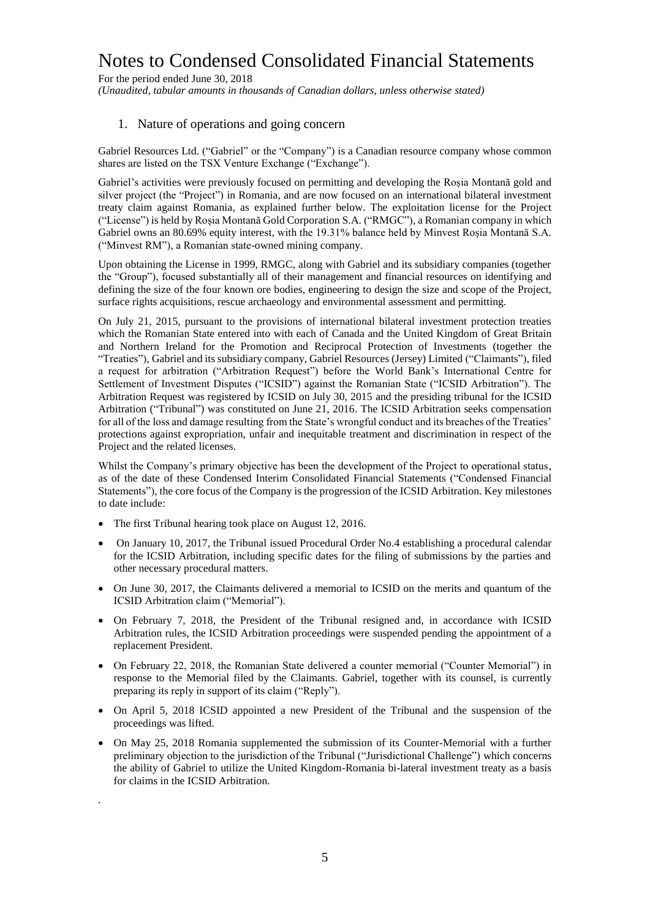For the period ended June 30, 2018 *(Unaudited, tabular amounts in thousands of Canadian dollars, unless otherwise stated)*

#### 1. Nature of operations and going concern

Gabriel Resources Ltd. ("Gabriel" or the "Company") is a Canadian resource company whose common shares are listed on the TSX Venture Exchange ("Exchange").

Gabriel's activities were previously focused on permitting and developing the Roșia Montană gold and silver project (the "Project") in Romania, and are now focused on an international bilateral investment treaty claim against Romania, as explained further below. The exploitation license for the Project ("License") is held by Roșia Montană Gold Corporation S.A. ("RMGC"), a Romanian company in which Gabriel owns an 80.69% equity interest, with the 19.31% balance held by Minvest Roșia Montană S.A. ("Minvest RM"), a Romanian state-owned mining company.

Upon obtaining the License in 1999, RMGC, along with Gabriel and its subsidiary companies (together the "Group"), focused substantially all of their management and financial resources on identifying and defining the size of the four known ore bodies, engineering to design the size and scope of the Project, surface rights acquisitions, rescue archaeology and environmental assessment and permitting.

On July 21, 2015, pursuant to the provisions of international bilateral investment protection treaties which the Romanian State entered into with each of Canada and the United Kingdom of Great Britain and Northern Ireland for the Promotion and Reciprocal Protection of Investments (together the "Treaties"), Gabriel and its subsidiary company, Gabriel Resources (Jersey) Limited ("Claimants"), filed a request for arbitration ("Arbitration Request") before the World Bank's International Centre for Settlement of Investment Disputes ("ICSID") against the Romanian State ("ICSID Arbitration"). The Arbitration Request was registered by ICSID on July 30, 2015 and the presiding tribunal for the ICSID Arbitration ("Tribunal") was constituted on June 21, 2016. The ICSID Arbitration seeks compensation for all of the loss and damage resulting from the State's wrongful conduct and its breaches of the Treaties' protections against expropriation, unfair and inequitable treatment and discrimination in respect of the Project and the related licenses.

Whilst the Company's primary objective has been the development of the Project to operational status, as of the date of these Condensed Interim Consolidated Financial Statements ("Condensed Financial Statements"), the core focus of the Company is the progression of the ICSID Arbitration. Key milestones to date include:

• The first Tribunal hearing took place on August 12, 2016.

*.*

- On January 10, 2017, the Tribunal issued Procedural Order No.4 establishing a procedural calendar for the ICSID Arbitration, including specific dates for the filing of submissions by the parties and other necessary procedural matters.
- On June 30, 2017, the Claimants delivered a memorial to ICSID on the merits and quantum of the ICSID Arbitration claim ("Memorial").
- On February 7, 2018, the President of the Tribunal resigned and, in accordance with ICSID Arbitration rules, the ICSID Arbitration proceedings were suspended pending the appointment of a replacement President.
- On February 22, 2018, the Romanian State delivered a counter memorial ("Counter Memorial") in response to the Memorial filed by the Claimants. Gabriel, together with its counsel, is currently preparing its reply in support of its claim ("Reply").
- On April 5, 2018 ICSID appointed a new President of the Tribunal and the suspension of the proceedings was lifted.
- On May 25, 2018 Romania supplemented the submission of its Counter-Memorial with a further preliminary objection to the jurisdiction of the Tribunal ("Jurisdictional Challenge") which concerns the ability of Gabriel to utilize the United Kingdom-Romania bi-lateral investment treaty as a basis for claims in the ICSID Arbitration.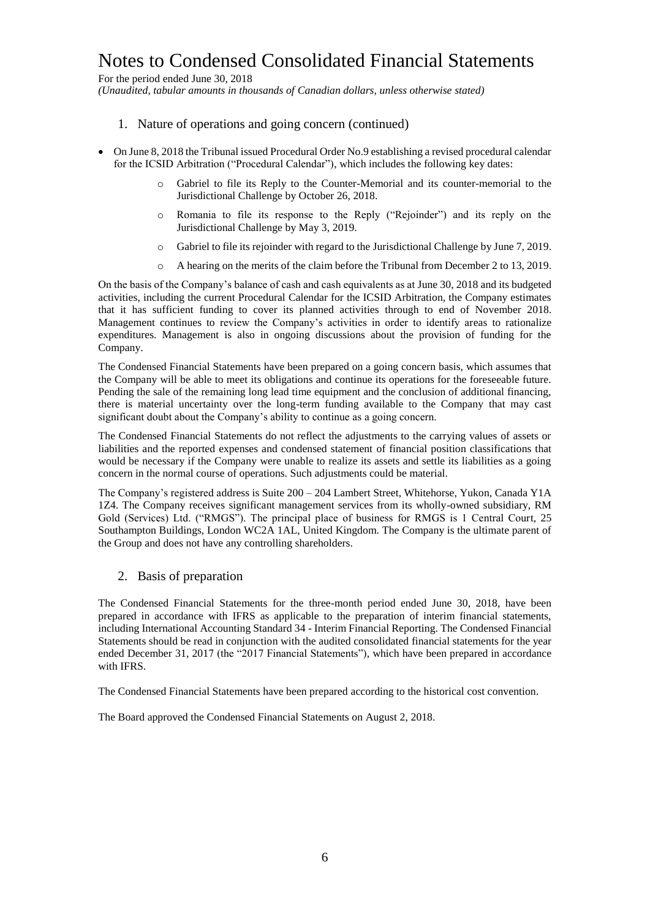For the period ended June 30, 2018

*(Unaudited, tabular amounts in thousands of Canadian dollars, unless otherwise stated)*

#### 1. Nature of operations and going concern (continued)

- On June 8, 2018 the Tribunal issued Procedural Order No.9 establishing a revised procedural calendar for the ICSID Arbitration ("Procedural Calendar"), which includes the following key dates:
	- o Gabriel to file its Reply to the Counter-Memorial and its counter-memorial to the Jurisdictional Challenge by October 26, 2018.
	- o Romania to file its response to the Reply ("Rejoinder") and its reply on the Jurisdictional Challenge by May 3, 2019.
	- o Gabriel to file its rejoinder with regard to the Jurisdictional Challenge by June 7, 2019.
	- o A hearing on the merits of the claim before the Tribunal from December 2 to 13, 2019.

On the basis of the Company's balance of cash and cash equivalents as at June 30, 2018 and its budgeted activities, including the current Procedural Calendar for the ICSID Arbitration, the Company estimates that it has sufficient funding to cover its planned activities through to end of November 2018. Management continues to review the Company's activities in order to identify areas to rationalize expenditures. Management is also in ongoing discussions about the provision of funding for the Company.

The Condensed Financial Statements have been prepared on a going concern basis, which assumes that the Company will be able to meet its obligations and continue its operations for the foreseeable future. Pending the sale of the remaining long lead time equipment and the conclusion of additional financing, there is material uncertainty over the long-term funding available to the Company that may cast significant doubt about the Company's ability to continue as a going concern.

The Condensed Financial Statements do not reflect the adjustments to the carrying values of assets or liabilities and the reported expenses and condensed statement of financial position classifications that would be necessary if the Company were unable to realize its assets and settle its liabilities as a going concern in the normal course of operations. Such adjustments could be material.

The Company's registered address is Suite 200 – 204 Lambert Street, Whitehorse, Yukon, Canada Y1A 1Z4. The Company receives significant management services from its wholly-owned subsidiary, RM Gold (Services) Ltd. ("RMGS"). The principal place of business for RMGS is 1 Central Court, 25 Southampton Buildings, London WC2A 1AL, United Kingdom. The Company is the ultimate parent of the Group and does not have any controlling shareholders.

#### 2. Basis of preparation

The Condensed Financial Statements for the three-month period ended June 30, 2018, have been prepared in accordance with IFRS as applicable to the preparation of interim financial statements, including International Accounting Standard 34 - Interim Financial Reporting. The Condensed Financial Statements should be read in conjunction with the audited consolidated financial statements for the year ended December 31, 2017 (the "2017 Financial Statements"), which have been prepared in accordance with IFRS.

The Condensed Financial Statements have been prepared according to the historical cost convention.

The Board approved the Condensed Financial Statements on August 2, 2018.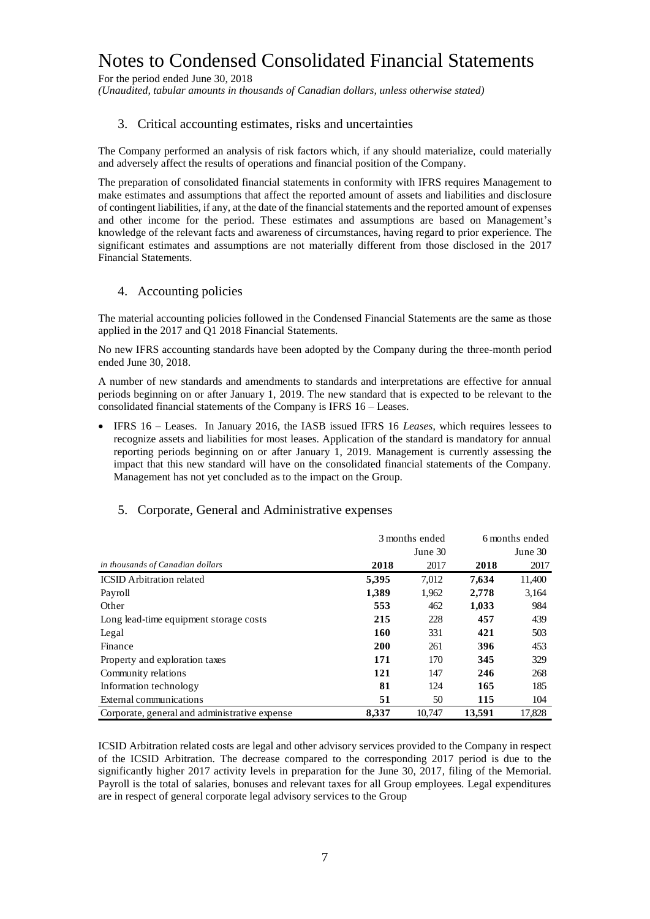For the period ended June 30, 2018

*(Unaudited, tabular amounts in thousands of Canadian dollars, unless otherwise stated)*

#### 3. Critical accounting estimates, risks and uncertainties

The Company performed an analysis of risk factors which, if any should materialize, could materially and adversely affect the results of operations and financial position of the Company.

The preparation of consolidated financial statements in conformity with IFRS requires Management to make estimates and assumptions that affect the reported amount of assets and liabilities and disclosure of contingent liabilities, if any, at the date of the financial statements and the reported amount of expenses and other income for the period. These estimates and assumptions are based on Management's knowledge of the relevant facts and awareness of circumstances, having regard to prior experience. The significant estimates and assumptions are not materially different from those disclosed in the 2017 Financial Statements.

#### 4. Accounting policies

The material accounting policies followed in the Condensed Financial Statements are the same as those applied in the 2017 and Q1 2018 Financial Statements.

No new IFRS accounting standards have been adopted by the Company during the three-month period ended June 30, 2018.

A number of new standards and amendments to standards and interpretations are effective for annual periods beginning on or after January 1, 2019. The new standard that is expected to be relevant to the consolidated financial statements of the Company is IFRS 16 – Leases.

 IFRS 16 – Leases. In January 2016, the IASB issued IFRS 16 *Leases*, which requires lessees to recognize assets and liabilities for most leases. Application of the standard is mandatory for annual reporting periods beginning on or after January 1, 2019. Management is currently assessing the impact that this new standard will have on the consolidated financial statements of the Company. Management has not yet concluded as to the impact on the Group.

#### 5. Corporate, General and Administrative expenses

|                                               |       | 3 months ended<br>6 months ended |        |         |
|-----------------------------------------------|-------|----------------------------------|--------|---------|
|                                               |       | June 30                          |        | June 30 |
| in thousands of Canadian dollars              | 2018  | 2017                             | 2018   | 2017    |
| <b>ICSID</b> Arbitration related              | 5,395 | 7.012                            | 7,634  | 11,400  |
| Payroll                                       | 1,389 | 1,962                            | 2,778  | 3,164   |
| Other                                         | 553   | 462                              | 1,033  | 984     |
| Long lead-time equipment storage costs        | 215   | 228                              | 457    | 439     |
| Legal                                         | 160   | 331                              | 421    | 503     |
| Finance                                       | 200   | 261                              | 396    | 453     |
| Property and exploration taxes                | 171   | 170                              | 345    | 329     |
| Community relations                           | 121   | 147                              | 246    | 268     |
| Information technology                        | 81    | 124                              | 165    | 185     |
| External communications                       | 51    | 50                               | 115    | 104     |
| Corporate, general and administrative expense | 8,337 | 10.747                           | 13,591 | 17.828  |

ICSID Arbitration related costs are legal and other advisory services provided to the Company in respect of the ICSID Arbitration. The decrease compared to the corresponding 2017 period is due to the significantly higher 2017 activity levels in preparation for the June 30, 2017, filing of the Memorial. Payroll is the total of salaries, bonuses and relevant taxes for all Group employees. Legal expenditures are in respect of general corporate legal advisory services to the Group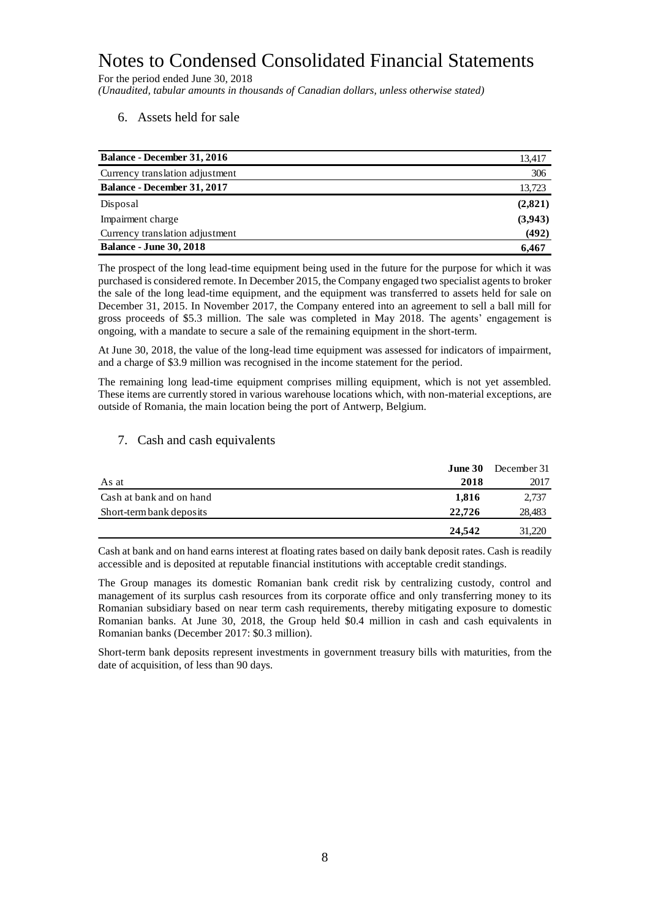For the period ended June 30, 2018 *(Unaudited, tabular amounts in thousands of Canadian dollars, unless otherwise stated)*

6. Assets held for sale

| <b>Balance - December 31, 2016</b> | 13,417  |
|------------------------------------|---------|
| Currency translation adjustment    | 306     |
| <b>Balance - December 31, 2017</b> | 13,723  |
| Disposal                           | (2,821) |
| Impairment charge                  | (3,943) |
| Currency translation adjustment    | (492)   |
| <b>Balance - June 30, 2018</b>     | 6.467   |

The prospect of the long lead-time equipment being used in the future for the purpose for which it was purchased is considered remote. In December 2015, the Company engaged two specialist agents to broker the sale of the long lead-time equipment, and the equipment was transferred to assets held for sale on December 31, 2015. In November 2017, the Company entered into an agreement to sell a ball mill for gross proceeds of \$5.3 million. The sale was completed in May 2018. The agents' engagement is ongoing, with a mandate to secure a sale of the remaining equipment in the short-term.

At June 30, 2018, the value of the long-lead time equipment was assessed for indicators of impairment, and a charge of \$3.9 million was recognised in the income statement for the period.

The remaining long lead-time equipment comprises milling equipment, which is not yet assembled. These items are currently stored in various warehouse locations which, with non-material exceptions, are outside of Romania, the main location being the port of Antwerp, Belgium.

#### 7. Cash and cash equivalents

|                          | June 30 | December 31 |
|--------------------------|---------|-------------|
| As at                    | 2018    | 2017        |
| Cash at bank and on hand | 1.816   | 2,737       |
| Short-term bank deposits | 22.726  | 28,483      |
|                          | 24.542  | 31,220      |

Cash at bank and on hand earns interest at floating rates based on daily bank deposit rates. Cash is readily accessible and is deposited at reputable financial institutions with acceptable credit standings.

The Group manages its domestic Romanian bank credit risk by centralizing custody, control and management of its surplus cash resources from its corporate office and only transferring money to its Romanian subsidiary based on near term cash requirements, thereby mitigating exposure to domestic Romanian banks. At June 30, 2018, the Group held \$0.4 million in cash and cash equivalents in Romanian banks (December 2017: \$0.3 million).

Short-term bank deposits represent investments in government treasury bills with maturities, from the date of acquisition, of less than 90 days.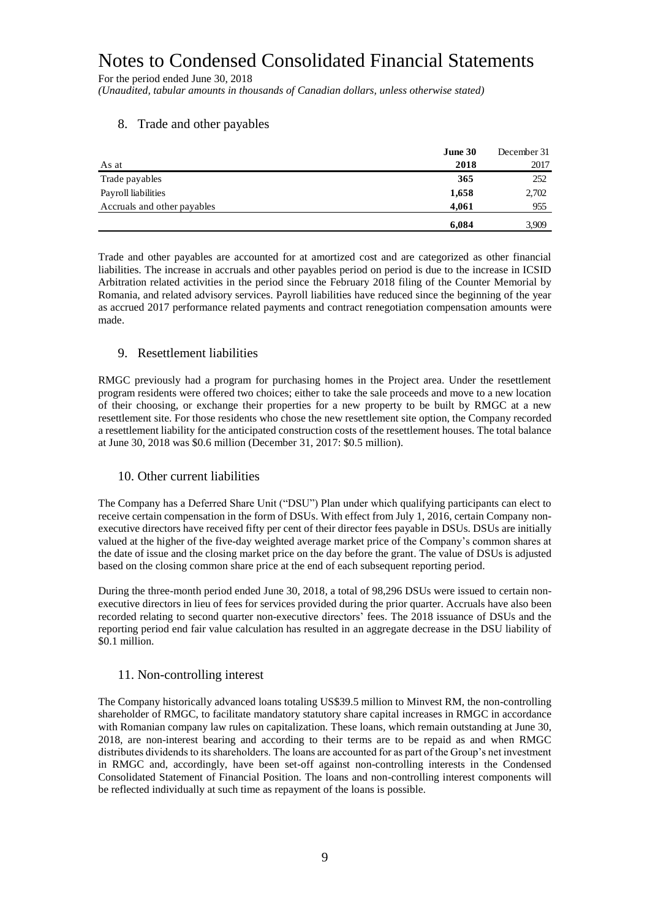For the period ended June 30, 2018 *(Unaudited, tabular amounts in thousands of Canadian dollars, unless otherwise stated)*

#### 8. Trade and other payables

|                             | June 30 | December 31 |
|-----------------------------|---------|-------------|
| As at                       | 2018    | 2017        |
| Trade payables              | 365     | 252         |
| Payroll liabilities         | 1,658   | 2,702       |
| Accruals and other payables | 4,061   | 955         |
|                             | 6,084   | 3.909       |

Trade and other payables are accounted for at amortized cost and are categorized as other financial liabilities. The increase in accruals and other payables period on period is due to the increase in ICSID Arbitration related activities in the period since the February 2018 filing of the Counter Memorial by Romania, and related advisory services. Payroll liabilities have reduced since the beginning of the year as accrued 2017 performance related payments and contract renegotiation compensation amounts were made.

#### 9. Resettlement liabilities

RMGC previously had a program for purchasing homes in the Project area. Under the resettlement program residents were offered two choices; either to take the sale proceeds and move to a new location of their choosing, or exchange their properties for a new property to be built by RMGC at a new resettlement site. For those residents who chose the new resettlement site option, the Company recorded a resettlement liability for the anticipated construction costs of the resettlement houses. The total balance at June 30, 2018 was \$0.6 million (December 31, 2017: \$0.5 million).

#### 10. Other current liabilities

The Company has a Deferred Share Unit ("DSU") Plan under which qualifying participants can elect to receive certain compensation in the form of DSUs. With effect from July 1, 2016, certain Company nonexecutive directors have received fifty per cent of their director fees payable in DSUs. DSUs are initially valued at the higher of the five-day weighted average market price of the Company's common shares at the date of issue and the closing market price on the day before the grant. The value of DSUs is adjusted based on the closing common share price at the end of each subsequent reporting period.

During the three-month period ended June 30, 2018, a total of 98,296 DSUs were issued to certain nonexecutive directors in lieu of fees for services provided during the prior quarter. Accruals have also been recorded relating to second quarter non-executive directors' fees. The 2018 issuance of DSUs and the reporting period end fair value calculation has resulted in an aggregate decrease in the DSU liability of \$0.1 million.

#### 11. Non-controlling interest

The Company historically advanced loans totaling US\$39.5 million to Minvest RM, the non-controlling shareholder of RMGC, to facilitate mandatory statutory share capital increases in RMGC in accordance with Romanian company law rules on capitalization. These loans, which remain outstanding at June 30, 2018, are non-interest bearing and according to their terms are to be repaid as and when RMGC distributes dividends to its shareholders. The loans are accounted for as part of the Group's net investment in RMGC and, accordingly, have been set-off against non-controlling interests in the Condensed Consolidated Statement of Financial Position. The loans and non-controlling interest components will be reflected individually at such time as repayment of the loans is possible.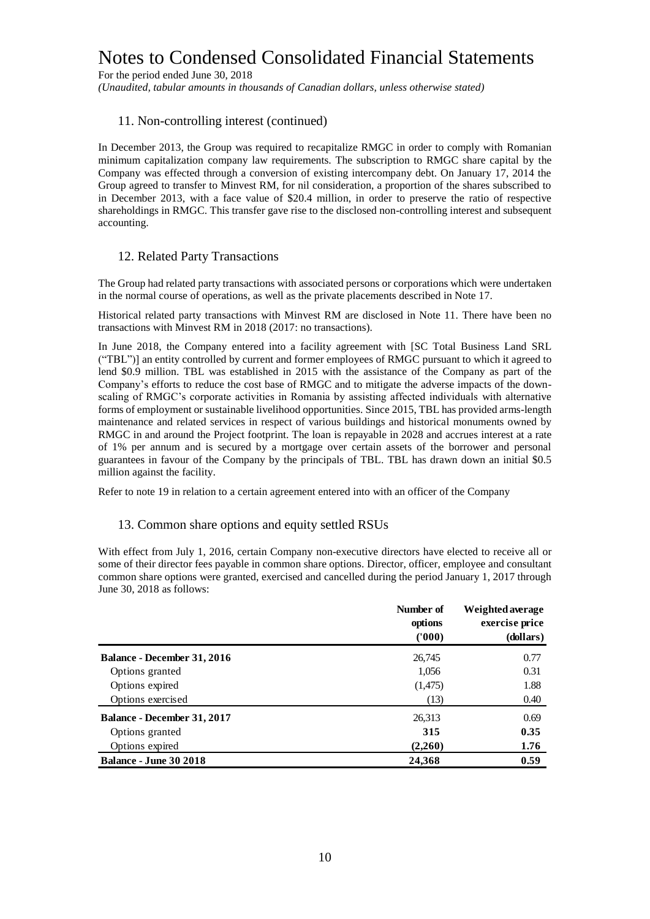For the period ended June 30, 2018

*(Unaudited, tabular amounts in thousands of Canadian dollars, unless otherwise stated)*

#### 11. Non-controlling interest (continued)

In December 2013, the Group was required to recapitalize RMGC in order to comply with Romanian minimum capitalization company law requirements. The subscription to RMGC share capital by the Company was effected through a conversion of existing intercompany debt. On January 17, 2014 the Group agreed to transfer to Minvest RM, for nil consideration, a proportion of the shares subscribed to in December 2013, with a face value of \$20.4 million, in order to preserve the ratio of respective shareholdings in RMGC. This transfer gave rise to the disclosed non-controlling interest and subsequent accounting.

#### 12. Related Party Transactions

The Group had related party transactions with associated persons or corporations which were undertaken in the normal course of operations, as well as the private placements described in Note 17.

Historical related party transactions with Minvest RM are disclosed in Note 11. There have been no transactions with Minvest RM in 2018 (2017: no transactions).

In June 2018, the Company entered into a facility agreement with [SC Total Business Land SRL ("TBL")] an entity controlled by current and former employees of RMGC pursuant to which it agreed to lend \$0.9 million. TBL was established in 2015 with the assistance of the Company as part of the Company's efforts to reduce the cost base of RMGC and to mitigate the adverse impacts of the downscaling of RMGC's corporate activities in Romania by assisting affected individuals with alternative forms of employment or sustainable livelihood opportunities. Since 2015, TBL has provided arms-length maintenance and related services in respect of various buildings and historical monuments owned by RMGC in and around the Project footprint. The loan is repayable in 2028 and accrues interest at a rate of 1% per annum and is secured by a mortgage over certain assets of the borrower and personal guarantees in favour of the Company by the principals of TBL. TBL has drawn down an initial \$0.5 million against the facility.

Refer to note 19 in relation to a certain agreement entered into with an officer of the Company

#### 13. Common share options and equity settled RSUs

With effect from July 1, 2016, certain Company non-executive directors have elected to receive all or some of their director fees payable in common share options. Director, officer, employee and consultant common share options were granted, exercised and cancelled during the period January 1, 2017 through June 30, 2018 as follows:

|                                    | Number of<br>options<br>(1000) | Weighted average<br>exercise price<br>(dollars) |  |  |
|------------------------------------|--------------------------------|-------------------------------------------------|--|--|
| <b>Balance - December 31, 2016</b> | 26,745                         | 0.77                                            |  |  |
| Options granted                    | 1,056                          | 0.31                                            |  |  |
| Options expired                    | (1,475)                        | 1.88                                            |  |  |
| Options exercised                  | (13)                           | 0.40                                            |  |  |
| Balance - December 31, 2017        | 26,313                         | 0.69                                            |  |  |
| Options granted                    | 315                            | 0.35                                            |  |  |
| Options expired                    | (2,260)                        | 1.76                                            |  |  |
| <b>Balance - June 30 2018</b>      | 24,368                         | 0.59                                            |  |  |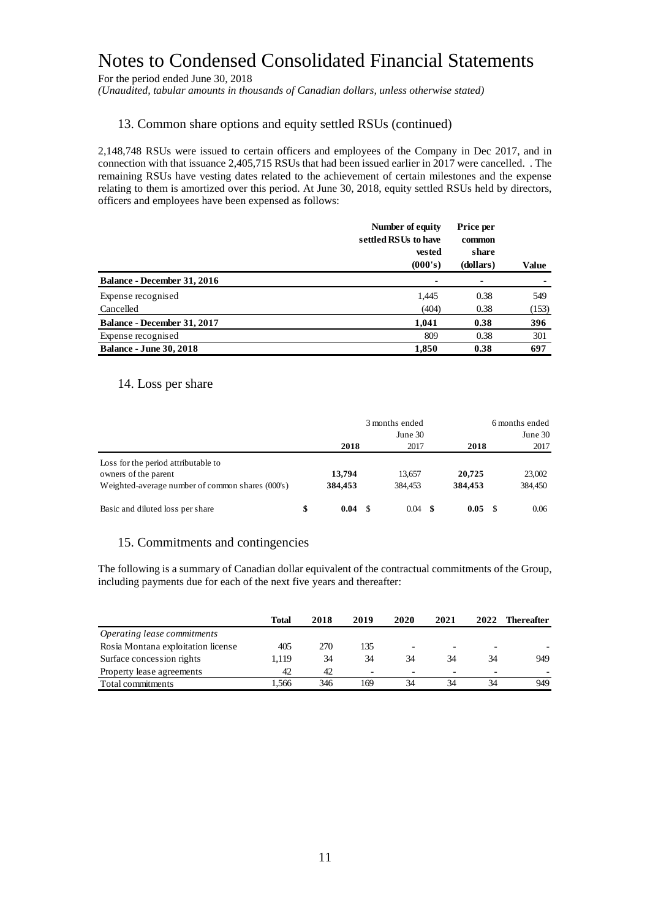For the period ended June 30, 2018

*(Unaudited, tabular amounts in thousands of Canadian dollars, unless otherwise stated)*

#### 13. Common share options and equity settled RSUs (continued)

2,148,748 RSUs were issued to certain officers and employees of the Company in Dec 2017, and in connection with that issuance 2,405,715 RSUs that had been issued earlier in 2017 were cancelled. . The remaining RSUs have vesting dates related to the achievement of certain milestones and the expense relating to them is amortized over this period. At June 30, 2018, equity settled RSUs held by directors, officers and employees have been expensed as follows:

|                                    | Number of equity<br>settled RSUs to have<br><b>vested</b> | Price per<br>common<br>share |       |
|------------------------------------|-----------------------------------------------------------|------------------------------|-------|
|                                    | (000's)                                                   | (dollars)                    | Value |
| <b>Balance - December 31, 2016</b> |                                                           |                              |       |
| Expense recognised                 | 1,445                                                     | 0.38                         | 549   |
| Cancelled                          | (404)                                                     | 0.38                         | (153) |
| <b>Balance - December 31, 2017</b> | 1,041                                                     | 0.38                         | 396   |
| Expense recognised                 | 809                                                       | 0.38                         | 301   |
| <b>Balance - June 30, 2018</b>     | 1,850                                                     | 0.38                         | 697   |

#### 14. Loss per share

|                                                                                                                 | 3 months ended<br>June 30 |                   |  |                   |  |                   | 6 months ended<br>June 30 |                   |
|-----------------------------------------------------------------------------------------------------------------|---------------------------|-------------------|--|-------------------|--|-------------------|---------------------------|-------------------|
|                                                                                                                 |                           | 2018              |  | 2017              |  | 2018              |                           | 2017              |
| Loss for the period attributable to<br>owners of the parent<br>Weighted-average number of common shares (000's) |                           | 13,794<br>384,453 |  | 13,657<br>384.453 |  | 20,725<br>384,453 |                           | 23,002<br>384,450 |
| Basic and diluted loss per share                                                                                | \$                        | 0.04              |  | $0.04 \;$ \$      |  | 0.05              |                           | 0.06              |

#### 15. Commitments and contingencies

The following is a summary of Canadian dollar equivalent of the contractual commitments of the Group, including payments due for each of the next five years and thereafter:

|                                    | Total | 2018 | 2019                     | 2020 | 2021                     | 2022                     | Thereafter |
|------------------------------------|-------|------|--------------------------|------|--------------------------|--------------------------|------------|
| Operating lease commitments        |       |      |                          |      |                          |                          |            |
| Rosia Montana exploitation license | 405   | 270  | 135                      | -    |                          | -                        |            |
| Surface concession rights          | 1.119 | 34   | 34                       | 34   | 34                       | 34                       | 949        |
| Property lease agreements          | 42    | 42   | $\overline{\phantom{0}}$ | -    | $\overline{\phantom{0}}$ | $\overline{\phantom{0}}$ |            |
| Total commitments                  | .566  | 346  | 169                      | 34   | 34                       | 34                       | 949        |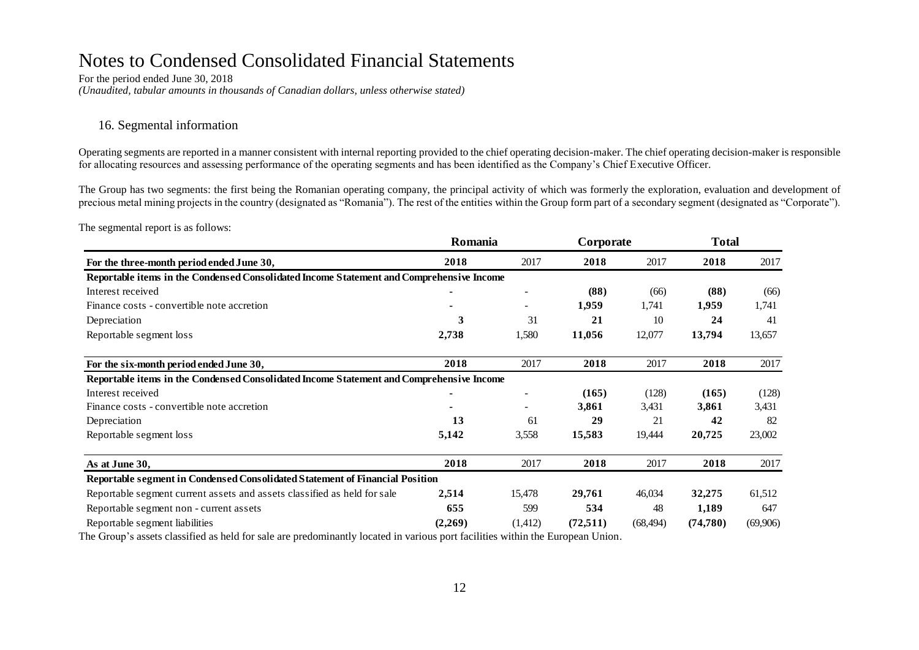For the period ended June 30, 2018 *(Unaudited, tabular amounts in thousands of Canadian dollars, unless otherwise stated)*

#### 16. Segmental information

Operating segments are reported in a manner consistent with internal reporting provided to the chief operating decision-maker. The chief operating decision-maker is responsible for allocating resources and assessing performance of the operating segments and has been identified as the Company's Chief Executive Officer.

The Group has two segments: the first being the Romanian operating company, the principal activity of which was formerly the exploration, evaluation and development of precious metal mining projects in the country (designated as "Romania"). The rest of the entities within the Group form part of a secondary segment (designated as "Corporate").

The segmental report is as follows:

|                                                                                          | Romania |          | Corporate |           | <b>Total</b> |          |  |
|------------------------------------------------------------------------------------------|---------|----------|-----------|-----------|--------------|----------|--|
| For the three-month period ended June 30,                                                | 2018    | 2017     | 2018      | 2017      | 2018         | 2017     |  |
| Reportable items in the Condensed Consolidated Income Statement and Comprehensive Income |         |          |           |           |              |          |  |
| Interest received                                                                        |         |          | (88)      | (66)      | (88)         | (66)     |  |
| Finance costs - convertible note accretion                                               |         |          | 1,959     | 1,741     | 1,959        | 1,741    |  |
| Depreciation                                                                             | 3       | 31       | 21        | 10        | 24           | 41       |  |
| Reportable segment loss                                                                  | 2,738   | 1,580    | 11,056    | 12,077    | 13,794       | 13,657   |  |
| For the six-month period ended June 30,                                                  | 2018    | 2017     | 2018      | 2017      | 2018         | 2017     |  |
| Reportable items in the Condensed Consolidated Income Statement and Comprehensive Income |         |          |           |           |              |          |  |
| Interest received                                                                        |         |          | (165)     | (128)     | (165)        | (128)    |  |
| Finance costs - convertible note accretion                                               |         |          | 3,861     | 3,431     | 3,861        | 3,431    |  |
| Depreciation                                                                             | 13      | 61       | 29        | 21        | 42           | 82       |  |
| Reportable segment loss                                                                  | 5,142   | 3,558    | 15,583    | 19,444    | 20,725       | 23,002   |  |
| As at June 30,                                                                           | 2018    | 2017     | 2018      | 2017      | 2018         | 2017     |  |
| Reportable segment in Condensed Consolidated Statement of Financial Position             |         |          |           |           |              |          |  |
| Reportable segment current assets and assets classified as held for sale                 | 2,514   | 15,478   | 29,761    | 46,034    | 32,275       | 61,512   |  |
| Reportable segment non - current assets                                                  | 655     | 599      | 534       | 48        | 1,189        | 647      |  |
| Reportable segment liabilities                                                           | (2,269) | (1, 412) | (72, 511) | (68, 494) | (74, 780)    | (69,906) |  |

The Group's assets classified as held for sale are predominantly located in various port facilities within the European Union.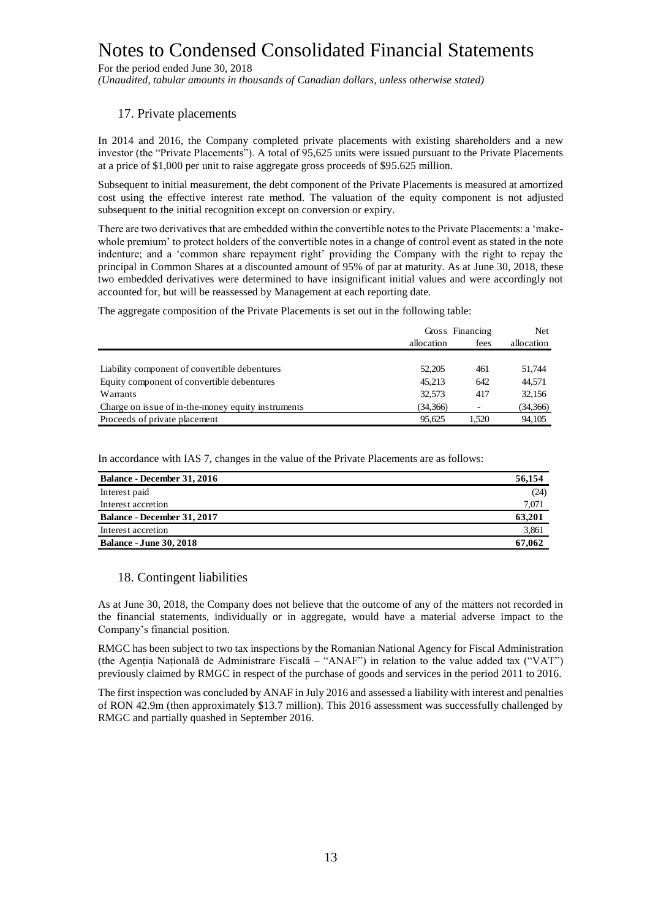For the period ended June 30, 2018

*(Unaudited, tabular amounts in thousands of Canadian dollars, unless otherwise stated)*

#### 17. Private placements

In 2014 and 2016, the Company completed private placements with existing shareholders and a new investor (the "Private Placements"). A total of 95,625 units were issued pursuant to the Private Placements at a price of \$1,000 per unit to raise aggregate gross proceeds of \$95.625 million.

Subsequent to initial measurement, the debt component of the Private Placements is measured at amortized cost using the effective interest rate method. The valuation of the equity component is not adjusted subsequent to the initial recognition except on conversion or expiry.

There are two derivatives that are embedded within the convertible notes to the Private Placements: a 'makewhole premium' to protect holders of the convertible notes in a change of control event as stated in the note indenture; and a 'common share repayment right' providing the Company with the right to repay the principal in Common Shares at a discounted amount of 95% of par at maturity. As at June 30, 2018, these two embedded derivatives were determined to have insignificant initial values and were accordingly not accounted for, but will be reassessed by Management at each reporting date.

The aggregate composition of the Private Placements is set out in the following table:

|                                                    |            | Gross Financing | <b>Net</b> |
|----------------------------------------------------|------------|-----------------|------------|
|                                                    | allocation | fees            | allocation |
|                                                    |            |                 |            |
| Liability component of convertible debentures      | 52,205     | 461             | 51.744     |
| Equity component of convertible debentures         | 45.213     | 642             | 44,571     |
| Warrants                                           | 32.573     | 417             | 32,156     |
| Charge on issue of in-the-money equity instruments | (34,366)   | ٠               | (34,366)   |
| Proceeds of private placement                      | 95.625     | 1.520           | 94.105     |

In accordance with IAS 7, changes in the value of the Private Placements are as follows:

| <b>Balance - December 31, 2016</b> | 56,154 |
|------------------------------------|--------|
| Interest paid                      | (24)   |
| Interest accretion                 | 7,071  |
| Balance - December 31, 2017        | 63,201 |
| Interest accretion                 | 3,861  |
| <b>Balance - June 30, 2018</b>     | 67,062 |

#### 18. Contingent liabilities

As at June 30, 2018, the Company does not believe that the outcome of any of the matters not recorded in the financial statements, individually or in aggregate, would have a material adverse impact to the Company's financial position.

RMGC has been subject to two tax inspections by the Romanian National Agency for Fiscal Administration (the Agenția Națională de Administrare Fiscală – "ANAF") in relation to the value added tax ("VAT") previously claimed by RMGC in respect of the purchase of goods and services in the period 2011 to 2016.

The first inspection was concluded by ANAF in July 2016 and assessed a liability with interest and penalties of RON 42.9m (then approximately \$13.7 million). This 2016 assessment was successfully challenged by RMGC and partially quashed in September 2016.